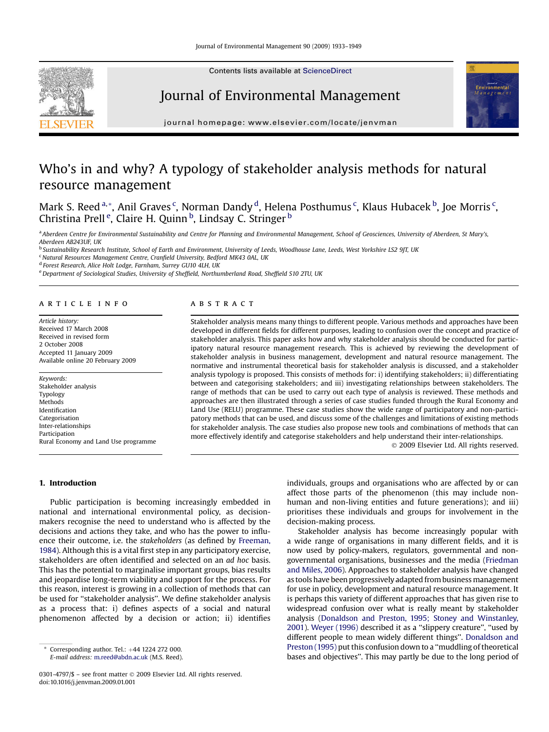

Contents lists available at [ScienceDirect](www.sciencedirect.com/science/journal/03014797)

# Journal of Environmental Management



journal homepage: [www.elsevier.com/locate/jenvman](http://www.elsevier.com/locate/jenvman)

# Who's in and why? A typology of stakeholder analysis methods for natural resource management

Mark S. Reed <sup>[a,](#page-0-0)</sup>[\\*](#page-0-0), Anil Graves <sup>[c](#page-0-0)</sup>, Norman Dan[d](#page-0-0)y <sup>d</sup>, Helena Posthumus <sup>c</sup>, Klaus Hu[b](#page-0-0)acek <sup>b</sup>, Joe Morris <sup>c</sup>, Christina Pr[e](#page-0-0)ll<sup>e</sup>, Claire H. Quinn<sup>[b](#page-0-0)</sup>, Lindsay C. Stringer<sup>b</sup>

a Aberdeen Centre for Environmental Sustainability and Centre for Planning and Environmental Management, School of Geosciences, University of Aberdeen, St Mary's, Aberdeen AB243UF, UK

<sup>b</sup> Sustainability Research Institute, School of Earth and Environment, University of Leeds, Woodhouse Lane, Leeds, West Yorkshire LS2 9JT, UK

 $c$  Natural Resources Management Centre, Cranfield University, Bedford MK43 0AL, UK

<sup>d</sup> Forest Research, Alice Holt Lodge, Farnham, Surrey GU10 4LH, UK

e Department of Sociological Studies, University of Sheffield, Northumberland Road, Sheffield S10 2TU, UK

#### article info

Article history: Received 17 March 2008 Received in revised form 2 October 2008 Accepted 11 January 2009 Available online 20 February 2009

#### Keywords:

Stakeholder analysis Typology Methods Identification Categorisation Inter-relationships Participation Rural Economy and Land Use programme

# **ABSTRACT**

Stakeholder analysis means many things to different people. Various methods and approaches have been developed in different fields for different purposes, leading to confusion over the concept and practice of stakeholder analysis. This paper asks how and why stakeholder analysis should be conducted for participatory natural resource management research. This is achieved by reviewing the development of stakeholder analysis in business management, development and natural resource management. The normative and instrumental theoretical basis for stakeholder analysis is discussed, and a stakeholder analysis typology is proposed. This consists of methods for: i) identifying stakeholders; ii) differentiating between and categorising stakeholders; and iii) investigating relationships between stakeholders. The range of methods that can be used to carry out each type of analysis is reviewed. These methods and approaches are then illustrated through a series of case studies funded through the Rural Economy and Land Use (RELU) programme. These case studies show the wide range of participatory and non-participatory methods that can be used, and discuss some of the challenges and limitations of existing methods for stakeholder analysis. The case studies also propose new tools and combinations of methods that can more effectively identify and categorise stakeholders and help understand their inter-relationships.

 $©$  2009 Elsevier Ltd. All rights reserved.

## 1. Introduction

Public participation is becoming increasingly embedded in national and international environmental policy, as decisionmakers recognise the need to understand who is affected by the decisions and actions they take, and who has the power to influence their outcome, i.e. the stakeholders (as defined by [Freeman,](#page-15-0) [1984\)](#page-15-0). Although this is a vital first step in any participatory exercise, stakeholders are often identified and selected on an ad hoc basis. This has the potential to marginalise important groups, bias results and jeopardise long-term viability and support for the process. For this reason, interest is growing in a collection of methods that can be used for ''stakeholder analysis''. We define stakeholder analysis as a process that: i) defines aspects of a social and natural phenomenon affected by a decision or action; ii) identifies individuals, groups and organisations who are affected by or can affect those parts of the phenomenon (this may include nonhuman and non-living entities and future generations); and iii) prioritises these individuals and groups for involvement in the decision-making process.

Stakeholder analysis has become increasingly popular with a wide range of organisations in many different fields, and it is now used by policy-makers, regulators, governmental and nongovernmental organisations, businesses and the media [\(Friedman](#page-15-0) [and Miles, 2006](#page-15-0)). Approaches to stakeholder analysis have changed as tools have been progressively adapted from business management for use in policy, development and natural resource management. It is perhaps this variety of different approaches that has given rise to widespread confusion over what is really meant by stakeholder analysis [\(Donaldson and Preston, 1995; Stoney and Winstanley,](#page-15-0) [2001](#page-15-0)). [Weyer \(1996\)](#page-16-0) described it as a ''slippery creature'', ''used by different people to mean widely different things''. [Donaldson and](#page-15-0) [Preston \(1995\)](#page-15-0) put this confusion down to a ''muddling of theoretical bases and objectives''. This may partly be due to the long period of

Corresponding author. Tel.:  $+44$  1224 272 000. E-mail address: [m.reed@abdn.ac.uk](mailto:m.reed@abdn.ac.uk) (M.S. Reed).

<span id="page-0-0"></span><sup>0301-4797/\$ -</sup> see front matter @ 2009 Elsevier Ltd. All rights reserved. doi:10.1016/j.jenvman.2009.01.001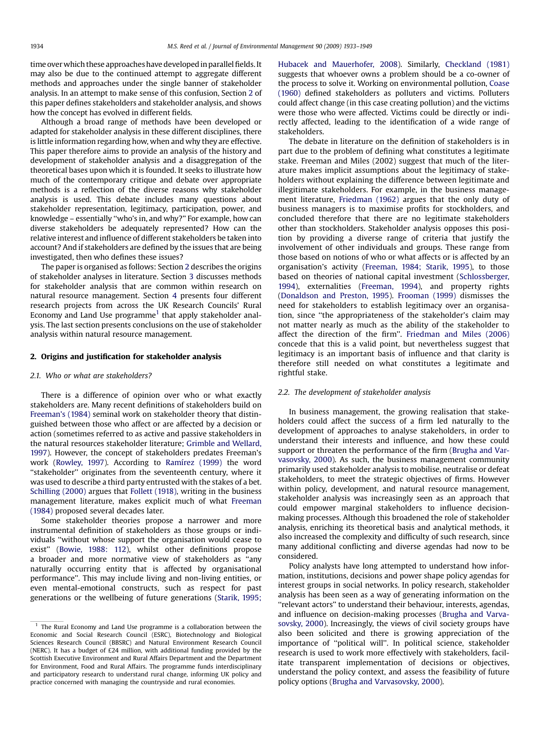time overwhich these approaches have developedinparallel fields. It may also be due to the continued attempt to aggregate different methods and approaches under the single banner of stakeholder analysis. In an attempt to make sense of this confusion, Section [2](#page-1-0) of this paper defines stakeholders and stakeholder analysis, and shows how the concept has evolved in different fields.

Although a broad range of methods have been developed or adapted for stakeholder analysis in these different disciplines, there is little information regarding how, when and why they are effective. This paper therefore aims to provide an analysis of the history and development of stakeholder analysis and a disaggregation of the theoretical bases upon which it is founded. It seeks to illustrate how much of the contemporary critique and debate over appropriate methods is a reflection of the diverse reasons why stakeholder analysis is used. This debate includes many questions about stakeholder representation, legitimacy, participation, power, and knowledge – essentially ''who's in, and why?'' For example, how can diverse stakeholders be adequately represented? How can the relative interest and influence of different stakeholders be taken into account? And if stakeholders are defined by the issues that are being investigated, then who defines these issues?

The paper is organised as follows: Section [2](#page-1-0) describes the origins of stakeholder analyses in literature. Section [3](#page-3-0) discusses methods for stakeholder analysis that are common within research on natural resource management. Section [4](#page-7-0) presents four different research projects from across the UK Research Councils' Rural Economy and Land Use programme<sup>1</sup> that apply stakeholder analysis. The last section presents conclusions on the use of stakeholder analysis within natural resource management.

## 2. Origins and justification for stakeholder analysis

#### 2.1. Who or what are stakeholders?

There is a difference of opinion over who or what exactly stakeholders are. Many recent definitions of stakeholders build on [Freeman's \(1984\)](#page-15-0) seminal work on stakeholder theory that distinguished between those who affect or are affected by a decision or action (sometimes referred to as active and passive stakeholders in the natural resources stakeholder literature; [Grimble and Wellard,](#page-15-0) [1997](#page-15-0)). However, the concept of stakeholders predates Freeman's work ([Rowley, 1997](#page-16-0)). According to Ramírez (1999) the word "stakeholder" originates from the seventeenth century, where it was used to describe a third party entrusted with the stakes of a bet. [Schilling \(2000\)](#page-16-0) argues that [Follett \(1918\),](#page-15-0) writing in the business management literature, makes explicit much of what [Freeman](#page-15-0) [\(1984\)](#page-15-0) proposed several decades later.

Some stakeholder theories propose a narrower and more instrumental definition of stakeholders as those groups or individuals ''without whose support the organisation would cease to exist'' [\(Bowie, 1988: 112\)](#page-14-0), whilst other definitions propose a broader and more normative view of stakeholders as ''any naturally occurring entity that is affected by organisational performance''. This may include living and non-living entities, or even mental-emotional constructs, such as respect for past generations or the wellbeing of future generations [\(Starik, 1995;](#page-16-0) [Hubacek and Mauerhofer, 2008\)](#page-16-0). Similarly, [Checkland \(1981\)](#page-15-0) suggests that whoever owns a problem should be a co-owner of the process to solve it. Working on environmental pollution, [Coase](#page-15-0) [\(1960\)](#page-15-0) defined stakeholders as polluters and victims. Polluters could affect change (in this case creating pollution) and the victims were those who were affected. Victims could be directly or indirectly affected, leading to the identification of a wide range of stakeholders.

The debate in literature on the definition of stakeholders is in part due to the problem of defining what constitutes a legitimate stake. Freeman and Miles (2002) suggest that much of the literature makes implicit assumptions about the legitimacy of stakeholders without explaining the difference between legitimate and illegitimate stakeholders. For example, in the business management literature, [Friedman \(1962\)](#page-15-0) argues that the only duty of business managers is to maximise profits for stockholders, and concluded therefore that there are no legitimate stakeholders other than stockholders. Stakeholder analysis opposes this position by providing a diverse range of criteria that justify the involvement of other individuals and groups. These range from those based on notions of who or what affects or is affected by an organisation's activity [\(Freeman, 1984; Starik, 1995](#page-15-0)), to those based on theories of national capital investment ([Schlossberger,](#page-16-0) [1994](#page-16-0)), externalities [\(Freeman, 1994](#page-15-0)), and property rights ([Donaldson and Preston, 1995](#page-15-0)). [Frooman \(1999\)](#page-15-0) dismisses the need for stakeholders to establish legitimacy over an organisation, since ''the appropriateness of the stakeholder's claim may not matter nearly as much as the ability of the stakeholder to affect the direction of the firm''. [Friedman and Miles \(2006\)](#page-15-0) concede that this is a valid point, but nevertheless suggest that legitimacy is an important basis of influence and that clarity is therefore still needed on what constitutes a legitimate and rightful stake.

#### 2.2. The development of stakeholder analysis

In business management, the growing realisation that stakeholders could affect the success of a firm led naturally to the development of approaches to analyse stakeholders, in order to understand their interests and influence, and how these could support or threaten the performance of the firm ([Brugha and Var](#page-14-0)[vasovsky, 2000](#page-14-0)). As such, the business management community primarily used stakeholder analysis to mobilise, neutralise or defeat stakeholders, to meet the strategic objectives of firms. However within policy, development, and natural resource management, stakeholder analysis was increasingly seen as an approach that could empower marginal stakeholders to influence decisionmaking processes. Although this broadened the role of stakeholder analysis, enriching its theoretical basis and analytical methods, it also increased the complexity and difficulty of such research, since many additional conflicting and diverse agendas had now to be considered.

Policy analysts have long attempted to understand how information, institutions, decisions and power shape policy agendas for interest groups in social networks. In policy research, stakeholder analysis has been seen as a way of generating information on the ''relevant actors'' to understand their behaviour, interests, agendas, and influence on decision-making processes ([Brugha and Varva](#page-14-0)[sovsky, 2000\)](#page-14-0). Increasingly, the views of civil society groups have also been solicited and there is growing appreciation of the importance of ''political will''. In political science, stakeholder research is used to work more effectively with stakeholders, facilitate transparent implementation of decisions or objectives, understand the policy context, and assess the feasibility of future policy options ([Brugha and Varvasovsky, 2000](#page-14-0)).

<span id="page-1-0"></span> $1$  The Rural Economy and Land Use programme is a collaboration between the Economic and Social Research Council (ESRC), Biotechnology and Biological Sciences Research Council (BBSRC) and Natural Environment Research Council (NERC). It has a budget of £24 million, with additional funding provided by the Scottish Executive Environment and Rural Affairs Department and the Department for Environment, Food and Rural Affairs. The programme funds interdisciplinary and participatory research to understand rural change, informing UK policy and practice concerned with managing the countryside and rural economies.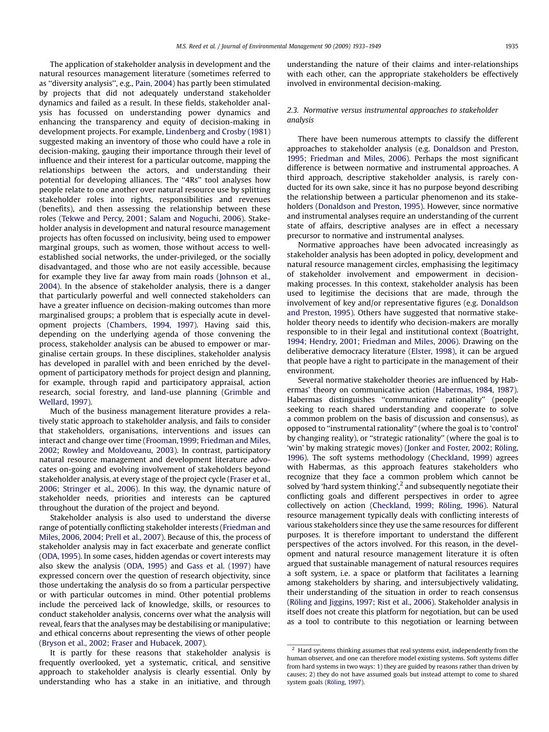The application of stakeholder analysis in development and the natural resources management literature (sometimes referred to as ''diversity analysis'', e.g., [Pain, 2004\)](#page-15-0) has partly been stimulated by projects that did not adequately understand stakeholder dynamics and failed as a result. In these fields, stakeholder analysis has focussed on understanding power dynamics and enhancing the transparency and equity of decision-making in development projects. For example, [Lindenberg and Crosby \(1981\)](#page-15-0) suggested making an inventory of those who could have a role in decision-making, gauging their importance through their level of influence and their interest for a particular outcome, mapping the relationships between the actors, and understanding their potential for developing alliances. The "4Rs" tool analyses how people relate to one another over natural resource use by splitting stakeholder roles into rights, responsibilities and revenues (benefits), and then assessing the relationship between these roles [\(Tekwe and Percy, 2001; Salam and Noguchi, 2006\)](#page-16-0). Stakeholder analysis in development and natural resource management projects has often focussed on inclusivity, being used to empower marginal groups, such as women, those without access to wellestablished social networks, the under-privileged, or the socially disadvantaged, and those who are not easily accessible, because for example they live far away from main roads [\(Johnson et al.,](#page-15-0) [2004](#page-15-0)). In the absence of stakeholder analysis, there is a danger that particularly powerful and well connected stakeholders can have a greater influence on decision-making outcomes than more marginalised groups; a problem that is especially acute in development projects [\(Chambers, 1994, 1997](#page-14-0)). Having said this, depending on the underlying agenda of those convening the process, stakeholder analysis can be abused to empower or marginalise certain groups. In these disciplines, stakeholder analysis has developed in parallel with and been enriched by the development of participatory methods for project design and planning, for example, through rapid and participatory appraisal, action research, social forestry, and land-use planning [\(Grimble and](#page-15-0) [Wellard, 1997](#page-15-0)).

Much of the business management literature provides a relatively static approach to stakeholder analysis, and fails to consider that stakeholders, organisations, interventions and issues can interact and change over time [\(Frooman, 1999](#page-15-0); [Friedman and Miles,](#page-15-0) [2002;](#page-15-0) [Rowley and Moldoveanu, 2003\)](#page-16-0). In contrast, participatory natural resource management and development literature advocates on-going and evolving involvement of stakeholders beyond stakeholder analysis, at every stage of the project cycle ([Fraser et al.,](#page-15-0) [2006; Stringer et al., 2006\)](#page-15-0). In this way, the dynamic nature of stakeholder needs, priorities and interests can be captured throughout the duration of the project and beyond.

Stakeholder analysis is also used to understand the diverse range of potentially conflicting stakeholder interests ([Friedman and](#page-15-0) [Miles, 2006, 2004;](#page-15-0) [Prell et al., 2007\)](#page-15-0). Because of this, the process of stakeholder analysis may in fact exacerbate and generate conflict ([ODA, 1995](#page-15-0)). In some cases, hidden agendas or covert interests may also skew the analysis ([ODA, 1995](#page-15-0)) and [Gass et al. \(1997\)](#page-15-0) have expressed concern over the question of research objectivity, since those undertaking the analysis do so from a particular perspective or with particular outcomes in mind. Other potential problems include the perceived lack of knowledge, skills, or resources to conduct stakeholder analysis, concerns over what the analysis will reveal, fears that the analyses may be destabilising or manipulative; and ethical concerns about representing the views of other people ([Bryson et al., 2002; Fraser and Hubacek, 2007](#page-14-0)).

<span id="page-2-0"></span>It is partly for these reasons that stakeholder analysis is frequently overlooked, yet a systematic, critical, and sensitive approach to stakeholder analysis is clearly essential. Only by understanding who has a stake in an initiative, and through understanding the nature of their claims and inter-relationships with each other, can the appropriate stakeholders be effectively involved in environmental decision-making.

## 2.3. Normative versus instrumental approaches to stakeholder analysis

There have been numerous attempts to classify the different approaches to stakeholder analysis (e.g. [Donaldson and Preston,](#page-15-0) 1995; [Friedman and Miles, 2006\)](#page-15-0). Perhaps the most significant difference is between normative and instrumental approaches. A third approach, descriptive stakeholder analysis, is rarely conducted for its own sake, since it has no purpose beyond describing the relationship between a particular phenomenon and its stakeholders [\(Donaldson and Preston, 1995](#page-15-0)). However, since normative and instrumental analyses require an understanding of the current state of affairs, descriptive analyses are in effect a necessary precursor to normative and instrumental analyses.

Normative approaches have been advocated increasingly as stakeholder analysis has been adopted in policy, development and natural resource management circles, emphasising the legitimacy of stakeholder involvement and empowerment in decisionmaking processes. In this context, stakeholder analysis has been used to legitimise the decisions that are made, through the involvement of key and/or representative figures (e.g. [Donaldson](#page-15-0) [and Preston, 1995](#page-15-0)). Others have suggested that normative stakeholder theory needs to identify who decision-makers are morally responsible to in their legal and institutional context [\(Boatright,](#page-14-0) [1994; Hendry, 2001; Friedman and Miles, 2006\)](#page-14-0). Drawing on the deliberative democracy literature [\(Elster, 1998\)](#page-15-0), it can be argued that people have a right to participate in the management of their environment.

Several normative stakeholder theories are influenced by Habermas' theory on communicative action ([Habermas, 1984, 1987\)](#page-15-0). Habermas distinguishes ''communicative rationality'' (people seeking to reach shared understanding and cooperate to solve a common problem on the basis of discussion and consensus), as opposed to ''instrumental rationality'' (where the goal is to 'control' by changing reality), or ''strategic rationality'' (where the goal is to 'win' by making strategic moves) (Jonker and Foster, 2002; Röling, [1996\)](#page-15-0). The soft systems methodology ([Checkland, 1999\)](#page-15-0) agrees with Habermas, as this approach features stakeholders who recognize that they face a common problem which cannot be solved by 'hard system thinking',<sup>2</sup> and subsequently negotiate their conflicting goals and different perspectives in order to agree collectively on action (Checkland, 1999; Röling, 1996). Natural resource management typically deals with conflicting interests of various stakeholders since they use the same resources for different purposes. It is therefore important to understand the different perspectives of the actors involved. For this reason, in the development and natural resource management literature it is often argued that sustainable management of natural resources requires a soft system, i.e. a space or platform that facilitates a learning among stakeholders by sharing, and intersubjectively validating, their understanding of the situation in order to reach consensus (Röling and Jiggins, 1997; Rist et al., 2006). Stakeholder analysis in itself does not create this platform for negotiation, but can be used as a tool to contribute to this negotiation or learning between

 $2$  Hard systems thinking assumes that real systems exist, independently from the human observer, and one can therefore model existing systems. Soft systems differ from hard systems in two ways: 1) they are guided by reasons rather than driven by causes; 2) they do not have assumed goals but instead attempt to come to shared system goals (Röling, 1997).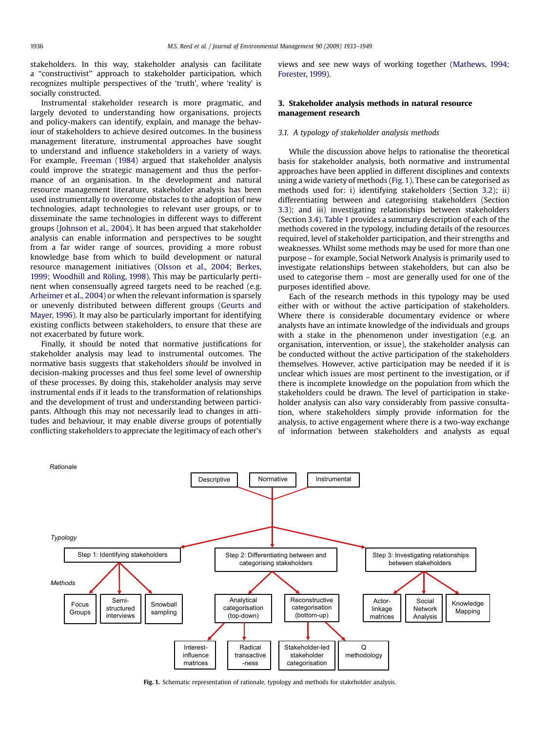stakeholders. In this way, stakeholder analysis can facilitate a ''constructivist'' approach to stakeholder participation, which recognizes multiple perspectives of the 'truth', where 'reality' is socially constructed.

Instrumental stakeholder research is more pragmatic, and largely devoted to understanding how organisations, projects and policy-makers can identify, explain, and manage the behaviour of stakeholders to achieve desired outcomes. In the business management literature, instrumental approaches have sought to understand and influence stakeholders in a variety of ways. For example, [Freeman \(1984\)](#page-15-0) argued that stakeholder analysis could improve the strategic management and thus the performance of an organisation. In the development and natural resource management literature, stakeholder analysis has been used instrumentally to overcome obstacles to the adoption of new technologies, adapt technologies to relevant user groups, or to disseminate the same technologies in different ways to different groups ([Johnson et al., 2004](#page-15-0)). It has been argued that stakeholder analysis can enable information and perspectives to be sought from a far wider range of sources, providing a more robust knowledge base from which to build development or natural resource management initiatives [\(Olsson et al., 2004; Berkes,](#page-15-0) 1999; Woodhill and Röling, 1998). This may be particularly pertinent when consensually agreed targets need to be reached (e.g. [Arheimer et al., 2004\)](#page-14-0) or when the relevant information is sparsely or unevenly distributed between different groups ([Geurts and](#page-15-0) [Mayer, 1996\)](#page-15-0). It may also be particularly important for identifying existing conflicts between stakeholders, to ensure that these are not exacerbated by future work.

Finally, it should be noted that normative justifications for stakeholder analysis may lead to instrumental outcomes. The normative basis suggests that stakeholders should be involved in decision-making processes and thus feel some level of ownership of these processes. By doing this, stakeholder analysis may serve instrumental ends if it leads to the transformation of relationships and the development of trust and understanding between participants. Although this may not necessarily lead to changes in attitudes and behaviour, it may enable diverse groups of potentially conflicting stakeholders to appreciate the legitimacy of each other's views and see new ways of working together [\(Mathews, 1994;](#page-15-0) [Forester, 1999](#page-15-0)).

## 3. Stakeholder analysis methods in natural resource management research

### 3.1. A typology of stakeholder analysis methods

While the discussion above helps to rationalise the theoretical basis for stakeholder analysis, both normative and instrumental approaches have been applied in different disciplines and contexts using a wide variety of methods [\(Fig. 1](#page-3-0)). These can be categorised as methods used for: i) identifying stakeholders (Section [3.2\)](#page-4-0); ii) differentiating between and categorising stakeholders (Section [3.3](#page-5-0)); and iii) investigating relationships between stakeholders (Section [3.4\)](#page-6-0). [Table 1](#page-4-0) provides a summary description of each of the methods covered in the typology, including details of the resources required, level of stakeholder participation, and their strengths and weaknesses. Whilst some methods may be used for more than one purpose – for example, Social Network Analysis is primarily used to investigate relationships between stakeholders, but can also be used to categorise them – most are generally used for one of the purposes identified above.

Each of the research methods in this typology may be used either with or without the active participation of stakeholders. Where there is considerable documentary evidence or where analysts have an intimate knowledge of the individuals and groups with a stake in the phenomenon under investigation (e.g. an organisation, intervention, or issue), the stakeholder analysis can be conducted without the active participation of the stakeholders themselves. However, active participation may be needed if it is unclear which issues are most pertinent to the investigation, or if there is incomplete knowledge on the population from which the stakeholders could be drawn. The level of participation in stakeholder analysis can also vary considerably from passive consultation, where stakeholders simply provide information for the analysis, to active engagement where there is a two-way exchange of information between stakeholders and analysts as equal



<span id="page-3-0"></span>Fig. 1. Schematic representation of rationale, typology and methods for stakeholder analysis.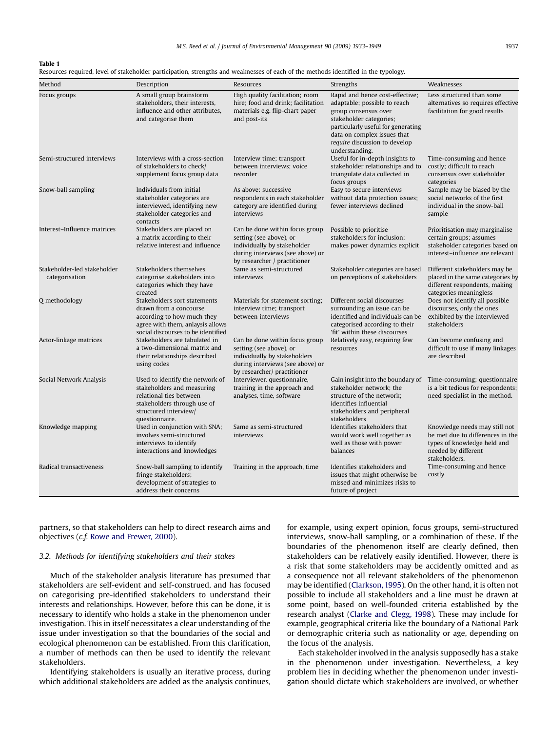## Table 1

Resources required, level of stakeholder participation, strengths and weaknesses of each of the methods identified in the typology.

| Method                                        | Description                                                                                                                                                        | Resources                                                                                                                                                    | Strengths                                                                                                                                                                                                                                  | Weaknesses                                                                                                                               |
|-----------------------------------------------|--------------------------------------------------------------------------------------------------------------------------------------------------------------------|--------------------------------------------------------------------------------------------------------------------------------------------------------------|--------------------------------------------------------------------------------------------------------------------------------------------------------------------------------------------------------------------------------------------|------------------------------------------------------------------------------------------------------------------------------------------|
| Focus groups                                  | A small group brainstorm<br>stakeholders, their interests,<br>influence and other attributes,<br>and categorise them                                               | High quality facilitation; room<br>hire; food and drink; facilitation<br>materials e.g. flip-chart paper<br>and post-its                                     | Rapid and hence cost-effective;<br>adaptable; possible to reach<br>group consensus over<br>stakeholder categories;<br>particularly useful for generating<br>data on complex issues that<br>require discussion to develop<br>understanding. | Less structured than some<br>alternatives so requires effective<br>facilitation for good results                                         |
| Semi-structured interviews                    | Interviews with a cross-section<br>of stakeholders to check/<br>supplement focus group data                                                                        | Interview time; transport<br>between interviews; voice<br>recorder                                                                                           | Useful for in-depth insights to<br>stakeholder relationships and to<br>triangulate data collected in<br>focus groups                                                                                                                       | Time-consuming and hence<br>costly; difficult to reach<br>consensus over stakeholder<br>categories                                       |
| Snow-ball sampling                            | Individuals from initial<br>stakeholder categories are<br>interviewed, identifying new<br>stakeholder categories and<br>contacts                                   | As above: successive<br>respondents in each stakeholder<br>category are identified during<br>interviews                                                      | Easy to secure interviews<br>without data protection issues;<br>fewer interviews declined                                                                                                                                                  | Sample may be biased by the<br>social networks of the first<br>individual in the snow-ball<br>sample                                     |
| Interest-Influence matrices                   | Stakeholders are placed on<br>a matrix according to their<br>relative interest and influence                                                                       | Can be done within focus group<br>setting (see above), or<br>individually by stakeholder<br>during interviews (see above) or<br>by researcher / practitioner | Possible to prioritise<br>stakeholders for inclusion;<br>makes power dynamics explicit                                                                                                                                                     | Prioritisation may marginalise<br>certain groups; assumes<br>stakeholder categories based on<br>interest-influence are relevant          |
| Stakeholder-led stakeholder<br>categorisation | Stakeholders themselves<br>categorise stakeholders into<br>categories which they have<br>created                                                                   | Same as semi-structured<br>interviews                                                                                                                        | Stakeholder categories are based<br>on perceptions of stakeholders                                                                                                                                                                         | Different stakeholders may be<br>placed in the same categories by<br>different respondents, making<br>categories meaningless             |
| Q methodology                                 | Stakeholders sort statements<br>drawn from a concourse<br>according to how much they<br>agree with them, anlaysis allows<br>social discourses to be identified     | Materials for statement sorting;<br>interview time; transport<br>between interviews                                                                          | Different social discourses<br>surrounding an issue can be<br>identified and individuals can be<br>categorised according to their<br>'fit' within these discourses                                                                         | Does not identify all possible<br>discourses, only the ones<br>exhibited by the interviewed<br>stakeholders                              |
| Actor-linkage matrices                        | Stakeholders are tabulated in<br>a two-dimensional matrix and<br>their relationships described<br>using codes                                                      | Can be done within focus group<br>setting (see above), or<br>individually by stakeholders<br>during interviews (see above) or<br>by researcher/ practitioner | Relatively easy, requiring few<br>resources                                                                                                                                                                                                | Can become confusing and<br>difficult to use if many linkages<br>are described                                                           |
| Social Network Analysis                       | Used to identify the network of<br>stakeholders and measuring<br>relational ties between<br>stakeholders through use of<br>structured interview/<br>questionnaire. | Interviewer, questionnaire,<br>training in the approach and<br>analyses, time, software                                                                      | Gain insight into the boundary of<br>stakeholder network; the<br>structure of the network;<br>identifies influential<br>stakeholders and peripheral<br>stakeholders                                                                        | Time-consuming; questionnaire<br>is a bit tedious for respondents;<br>need specialist in the method.                                     |
| Knowledge mapping                             | Used in conjunction with SNA;<br>involves semi-structured<br>interviews to identify<br>interactions and knowledges                                                 | Same as semi-structured<br>interviews                                                                                                                        | Identifies stakeholders that<br>would work well together as<br>well as those with power<br>balances                                                                                                                                        | Knowledge needs may still not<br>be met due to differences in the<br>types of knowledge held and<br>needed by different<br>stakeholders. |
| Radical transactiveness                       | Snow-ball sampling to identify<br>fringe stakeholders;<br>development of strategies to<br>address their concerns                                                   | Training in the approach, time                                                                                                                               | Identifies stakeholders and<br>issues that might otherwise be<br>missed and minimizes risks to<br>future of project                                                                                                                        | Time-consuming and hence<br>costly                                                                                                       |

partners, so that stakeholders can help to direct research aims and objectives (c.f. [Rowe and Frewer, 2000](#page-16-0)).

## 3.2. Methods for identifying stakeholders and their stakes

Much of the stakeholder analysis literature has presumed that stakeholders are self-evident and self-construed, and has focused on categorising pre-identified stakeholders to understand their interests and relationships. However, before this can be done, it is necessary to identify who holds a stake in the phenomenon under investigation. This in itself necessitates a clear understanding of the issue under investigation so that the boundaries of the social and ecological phenomenon can be established. From this clarification, a number of methods can then be used to identify the relevant stakeholders.

<span id="page-4-0"></span>Identifying stakeholders is usually an iterative process, during which additional stakeholders are added as the analysis continues, for example, using expert opinion, focus groups, semi-structured interviews, snow-ball sampling, or a combination of these. If the boundaries of the phenomenon itself are clearly defined, then stakeholders can be relatively easily identified. However, there is a risk that some stakeholders may be accidently omitted and as a consequence not all relevant stakeholders of the phenomenon may be identified [\(Clarkson, 1995\)](#page-15-0). On the other hand, it is often not possible to include all stakeholders and a line must be drawn at some point, based on well-founded criteria established by the research analyst ([Clarke and Clegg, 1998\)](#page-15-0). These may include for example, geographical criteria like the boundary of a National Park or demographic criteria such as nationality or age, depending on the focus of the analysis.

Each stakeholder involved in the analysis supposedly has a stake in the phenomenon under investigation. Nevertheless, a key problem lies in deciding whether the phenomenon under investigation should dictate which stakeholders are involved, or whether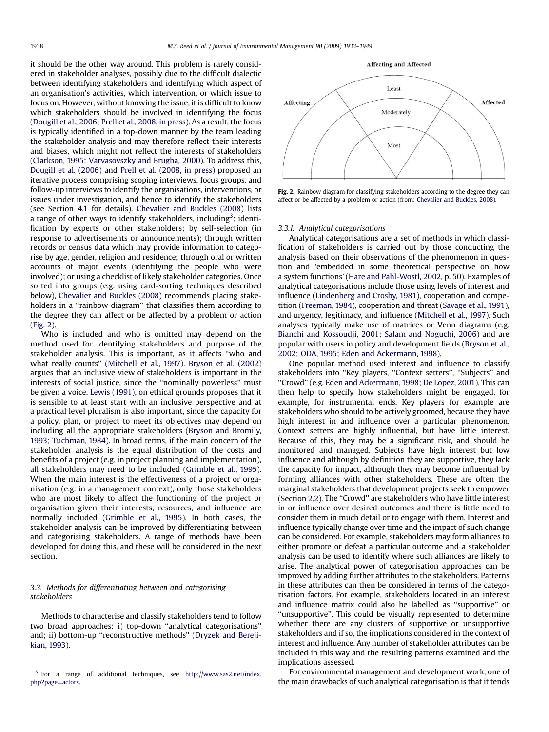it should be the other way around. This problem is rarely considered in stakeholder analyses, possibly due to the difficult dialectic between identifying stakeholders and identifying which aspect of an organisation's activities, which intervention, or which issue to focus on. However, without knowing the issue, it is difficult to know which stakeholders should be involved in identifying the focus ([Dougill et al., 2006; Prell et al., 2008, in press](#page-15-0)). As a result, the focus is typically identified in a top-down manner by the team leading the stakeholder analysis and may therefore reflect their interests and biases, which might not reflect the interests of stakeholders ([Clarkson, 1995; Varvasovszky and Brugha, 2000](#page-15-0)). To address this, [Dougill et al. \(2006\)](#page-15-0) and [Prell et al. \(2008, in press\)](#page-15-0) proposed an iterative process comprising scoping interviews, focus groups, and follow-up interviews to identify the organisations, interventions, or issues under investigation, and hence to identify the stakeholders (see Section [4.1](#page-8-0) for details). [Chevalier and Buckles \(2008\)](#page-15-0) lists a range of other ways to identify stakeholders, including<sup>[3](#page-5-0)</sup>: identification by experts or other stakeholders; by self-selection (in response to advertisements or announcements); through written records or census data which may provide information to categorise by age, gender, religion and residence; through oral or written accounts of major events (identifying the people who were involved); or using a checklist of likely stakeholder categories. Once sorted into groups (e.g. using card-sorting techniques described below), [Chevalier and Buckles \(2008\)](#page-15-0) recommends placing stakeholders in a ''rainbow diagram'' that classifies them according to the degree they can affect or be affected by a problem or action ([Fig. 2](#page-5-0)).

Who is included and who is omitted may depend on the method used for identifying stakeholders and purpose of the stakeholder analysis. This is important, as it affects ''who and what really counts'' [\(Mitchell et al., 1997\)](#page-15-0). [Bryson et al. \(2002\)](#page-14-0) argues that an inclusive view of stakeholders is important in the interests of social justice, since the ''nominally powerless'' must be given a voice. [Lewis \(1991\)](#page-15-0), on ethical grounds proposes that it is sensible to at least start with an inclusive perspective and at a practical level pluralism is also important, since the capacity for a policy, plan, or project to meet its objectives may depend on including all the appropriate stakeholders ([Bryson and Bromily,](#page-14-0) [1993; Tuchman, 1984\)](#page-14-0). In broad terms, if the main concern of the stakeholder analysis is the equal distribution of the costs and benefits of a project (e.g. in project planning and implementation), all stakeholders may need to be included ([Grimble et al., 1995\)](#page-15-0). When the main interest is the effectiveness of a project or organisation (e.g. in a management context), only those stakeholders who are most likely to affect the functioning of the project or organisation given their interests, resources, and influence are normally included [\(Grimble et al., 1995\)](#page-15-0). In both cases, the stakeholder analysis can be improved by differentiating between and categorising stakeholders. A range of methods have been developed for doing this, and these will be considered in the next section.

## 3.3. Methods for differentiating between and categorising stakeholders

Methods to characterise and classify stakeholders tend to follow two broad approaches: i) top-down ''analytical categorisations'' and; ii) bottom-up "reconstructive methods" ([Dryzek and Bereji](#page-15-0)[kian, 1993](#page-15-0)).



Fig. 2. Rainbow diagram for classifying stakeholders according to the degree they can affect or be affected by a problem or action (from: [Chevalier and Buckles, 2008](#page-15-0)).

#### 3.3.1. Analytical categorisations

Analytical categorisations are a set of methods in which classification of stakeholders is carried out by those conducting the analysis based on their observations of the phenomenon in question and 'embedded in some theoretical perspective on how a system functions' [\(Hare and Pahl-Wostl, 2002,](#page-15-0) p. 50). Examples of analytical categorisations include those using levels of interest and influence [\(Lindenberg and Crosby, 1981](#page-15-0)), cooperation and competition ([Freeman, 1984](#page-15-0)), cooperation and threat ([Savage et al., 1991\)](#page-16-0), and urgency, legitimacy, and influence [\(Mitchell et al., 1997](#page-15-0)). Such analyses typically make use of matrices or Venn diagrams (e.g. [Bianchi and Kossoudji, 2001; Salam and Noguchi, 2006](#page-14-0)) and are popular with users in policy and development fields [\(Bryson et al.,](#page-14-0) [2002; ODA, 1995; Eden and Ackermann, 1998](#page-14-0)).

One popular method used interest and influence to classify stakeholders into ''Key players, ''Context setters'', ''Subjects'' and ''Crowd'' (e.g. [Eden and Ackermann, 1998; De Lopez, 2001\)](#page-15-0). This can then help to specify how stakeholders might be engaged, for example, for instrumental ends. Key players for example are stakeholders who should to be actively groomed, because they have high interest in and influence over a particular phenomenon. Context setters are highly influential, but have little interest. Because of this, they may be a significant risk, and should be monitored and managed. Subjects have high interest but low influence and although by definition they are supportive, they lack the capacity for impact, although they may become influential by forming alliances with other stakeholders. These are often the marginal stakeholders that development projects seek to empower (Section [2.2\)](#page-1-0). The "Crowd" are stakeholders who have little interest in or influence over desired outcomes and there is little need to consider them in much detail or to engage with them. Interest and influence typically change over time and the impact of such change can be considered. For example, stakeholders may form alliances to either promote or defeat a particular outcome and a stakeholder analysis can be used to identify where such alliances are likely to arise. The analytical power of categorisation approaches can be improved by adding further attributes to the stakeholders. Patterns in these attributes can then be considered in terms of the categorisation factors. For example, stakeholders located in an interest and influence matrix could also be labelled as ''supportive'' or ''unsupportive''. This could be visually represented to determine whether there are any clusters of supportive or unsupportive stakeholders and if so, the implications considered in the context of interest and influence. Any number of stakeholder attributes can be included in this way and the resulting patterns examined and the implications assessed.

For environmental management and development work, one of the main drawbacks of such analytical categorisation is that it tends

<span id="page-5-0"></span><sup>3</sup> For a range of additional techniques, see [http://www.sas2.net/index.](http://www.sas2.net/index.php%3Fpage%3Dactors) [php?page](http://www.sas2.net/index.php%3Fpage%3Dactors)=[actors.](http://www.sas2.net/index.php%3Fpage%3Dactors)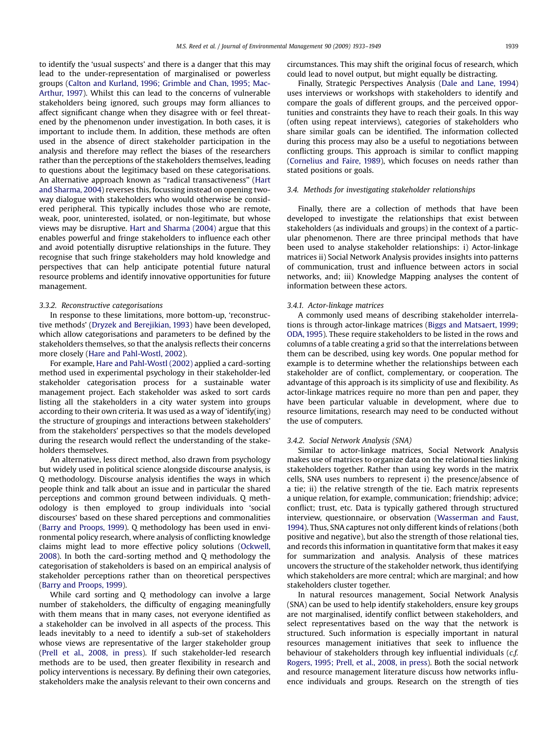to identify the 'usual suspects' and there is a danger that this may lead to the under-representation of marginalised or powerless groups [\(Calton and Kurland, 1996; Grimble and Chan, 1995; Mac-](#page-14-0)[Arthur, 1997](#page-14-0)). Whilst this can lead to the concerns of vulnerable stakeholders being ignored, such groups may form alliances to affect significant change when they disagree with or feel threatened by the phenomenon under investigation. In both cases, it is important to include them. In addition, these methods are often used in the absence of direct stakeholder participation in the analysis and therefore may reflect the biases of the researchers rather than the perceptions of the stakeholders themselves, leading to questions about the legitimacy based on these categorisations. An alternative approach known as ''radical transactiveness'' ([Hart](#page-15-0) [and Sharma, 2004](#page-15-0)) reverses this, focussing instead on opening twoway dialogue with stakeholders who would otherwise be considered peripheral. This typically includes those who are remote, weak, poor, uninterested, isolated, or non-legitimate, but whose views may be disruptive. [Hart and Sharma \(2004\)](#page-15-0) argue that this enables powerful and fringe stakeholders to influence each other and avoid potentially disruptive relationships in the future. They recognise that such fringe stakeholders may hold knowledge and perspectives that can help anticipate potential future natural resource problems and identify innovative opportunities for future management.

### 3.3.2. Reconstructive categorisations

In response to these limitations, more bottom-up, 'reconstructive methods' ([Dryzek and Berejikian, 1993\)](#page-15-0) have been developed, which allow categorisations and parameters to be defined by the stakeholders themselves, so that the analysis reflects their concerns more closely [\(Hare and Pahl-Wostl, 2002](#page-15-0)).

For example, [Hare and Pahl-Wostl \(2002\)](#page-15-0) applied a card-sorting method used in experimental psychology in their stakeholder-led stakeholder categorisation process for a sustainable water management project. Each stakeholder was asked to sort cards listing all the stakeholders in a city water system into groups according to their own criteria. It was used as a way of 'identify(ing) the structure of groupings and interactions between stakeholders' from the stakeholders' perspectives so that the models developed during the research would reflect the understanding of the stakeholders themselves.

An alternative, less direct method, also drawn from psychology but widely used in political science alongside discourse analysis, is Q methodology. Discourse analysis identifies the ways in which people think and talk about an issue and in particular the shared perceptions and common ground between individuals. Q methodology is then employed to group individuals into 'social discourses' based on these shared perceptions and commonalities ([Barry and Proops, 1999\)](#page-14-0). Q methodology has been used in environmental policy research, where analysis of conflicting knowledge claims might lead to more effective policy solutions [\(Ockwell,](#page-15-0) [2008\)](#page-15-0). In both the card-sorting method and Q methodology the categorisation of stakeholders is based on an empirical analysis of stakeholder perceptions rather than on theoretical perspectives ([Barry and Proops, 1999\)](#page-14-0).

<span id="page-6-0"></span>While card sorting and Q methodology can involve a large number of stakeholders, the difficulty of engaging meaningfully with them means that in many cases, not everyone identified as a stakeholder can be involved in all aspects of the process. This leads inevitably to a need to identify a sub-set of stakeholders whose views are representative of the larger stakeholder group ([Prell et al., 2008, in press](#page-15-0)). If such stakeholder-led research methods are to be used, then greater flexibility in research and policy interventions is necessary. By defining their own categories, stakeholders make the analysis relevant to their own concerns and circumstances. This may shift the original focus of research, which could lead to novel output, but might equally be distracting.

Finally, Strategic Perspectives Analysis [\(Dale and Lane, 1994\)](#page-15-0) uses interviews or workshops with stakeholders to identify and compare the goals of different groups, and the perceived opportunities and constraints they have to reach their goals. In this way (often using repeat interviews), categories of stakeholders who share similar goals can be identified. The information collected during this process may also be a useful to negotiations between conflicting groups. This approach is similar to conflict mapping ([Cornelius and Faire, 1989\)](#page-15-0), which focuses on needs rather than stated positions or goals.

#### 3.4. Methods for investigating stakeholder relationships

Finally, there are a collection of methods that have been developed to investigate the relationships that exist between stakeholders (as individuals and groups) in the context of a particular phenomenon. There are three principal methods that have been used to analyse stakeholder relationships: i) Actor-linkage matrices ii) Social Network Analysis provides insights into patterns of communication, trust and influence between actors in social networks, and; iii) Knowledge Mapping analyses the content of information between these actors.

## 3.4.1. Actor-linkage matrices

A commonly used means of describing stakeholder interrelations is through actor-linkage matrices ([Biggs and Matsaert, 1999;](#page-14-0) [ODA, 1995](#page-15-0)). These require stakeholders to be listed in the rows and columns of a table creating a grid so that the interrelations between them can be described, using key words. One popular method for example is to determine whether the relationships between each stakeholder are of conflict, complementary, or cooperation. The advantage of this approach is its simplicity of use and flexibility. As actor-linkage matrices require no more than pen and paper, they have been particular valuable in development, where due to resource limitations, research may need to be conducted without the use of computers.

### 3.4.2. Social Network Analysis (SNA)

Similar to actor-linkage matrices, Social Network Analysis makes use of matrices to organize data on the relational ties linking stakeholders together. Rather than using key words in the matrix cells, SNA uses numbers to represent i) the presence/absence of a tie; ii) the relative strength of the tie. Each matrix represents a unique relation, for example, communication; friendship; advice; conflict; trust, etc. Data is typically gathered through structured interview, questionnaire, or observation ([Wasserman and Faust,](#page-16-0) [1994\)](#page-16-0). Thus, SNA captures not only different kinds of relations (both positive and negative), but also the strength of those relational ties, and records this information in quantitative form that makes it easy for summarization and analysis. Analysis of these matrices uncovers the structure of the stakeholder network, thus identifying which stakeholders are more central; which are marginal; and how stakeholders cluster together.

In natural resources management, Social Network Analysis (SNA) can be used to help identify stakeholders, ensure key groups are not marginalised, identify conflict between stakeholders, and select representatives based on the way that the network is structured. Such information is especially important in natural resources management initiatives that seek to influence the behaviour of stakeholders through key influential individuals (c.f. [Rogers, 1995; Prell, et al., 2008, in press\)](#page-15-0). Both the social network and resource management literature discuss how networks influence individuals and groups. Research on the strength of ties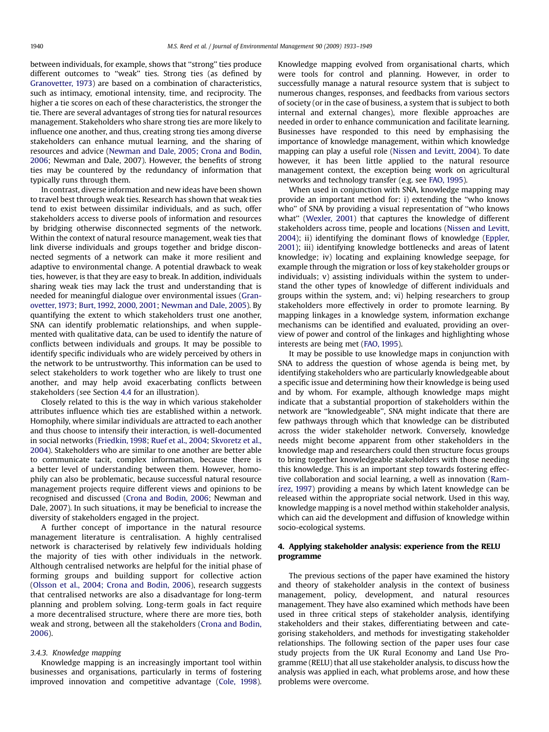between individuals, for example, shows that ''strong'' ties produce different outcomes to ''weak'' ties. Strong ties (as defined by [Granovetter, 1973](#page-15-0)) are based on a combination of characteristics, such as intimacy, emotional intensity, time, and reciprocity. The higher a tie scores on each of these characteristics, the stronger the tie. There are several advantages of strong ties for natural resources management. Stakeholders who share strong ties are more likely to influence one another, and thus, creating strong ties among diverse stakeholders can enhance mutual learning, and the sharing of resources and advice [\(Newman and Dale, 2005; Crona and Bodin,](#page-15-0) [2006](#page-15-0); Newman and Dale, 2007). However, the benefits of strong ties may be countered by the redundancy of information that typically runs through them.

In contrast, diverse information and new ideas have been shown to travel best through weak ties. Research has shown that weak ties tend to exist between dissimilar individuals, and as such, offer stakeholders access to diverse pools of information and resources by bridging otherwise disconnected segments of the network. Within the context of natural resource management, weak ties that link diverse individuals and groups together and bridge disconnected segments of a network can make it more resilient and adaptive to environmental change. A potential drawback to weak ties, however, is that they are easy to break. In addition, individuals sharing weak ties may lack the trust and understanding that is needed for meaningful dialogue over environmental issues [\(Gran](#page-15-0)[ovetter, 1973; Burt, 1992,](#page-15-0) [2000, 2001](#page-14-0); [Newman and Dale, 2005](#page-15-0)). By quantifying the extent to which stakeholders trust one another, SNA can identify problematic relationships, and when supplemented with qualitative data, can be used to identify the nature of conflicts between individuals and groups. It may be possible to identify specific individuals who are widely perceived by others in the network to be untrustworthy. This information can be used to select stakeholders to work together who are likely to trust one another, and may help avoid exacerbating conflicts between stakeholders (see Section [4.4](#page-11-0) for an illustration).

Closely related to this is the way in which various stakeholder attributes influence which ties are established within a network. Homophily, where similar individuals are attracted to each another and thus choose to intensify their interaction, is well-documented in social networks [\(Friedkin, 1998](#page-15-0); [Ruef et al., 2004](#page-16-0); [Skvoretz et al.,](#page-16-0) [2004](#page-16-0)). Stakeholders who are similar to one another are better able to communicate tacit, complex information, because there is a better level of understanding between them. However, homophily can also be problematic, because successful natural resource management projects require different views and opinions to be recognised and discussed ([Crona and Bodin, 2006](#page-15-0); Newman and Dale, 2007). In such situations, it may be beneficial to increase the diversity of stakeholders engaged in the project.

A further concept of importance in the natural resource management literature is centralisation. A highly centralised network is characterised by relatively few individuals holding the majority of ties with other individuals in the network. Although centralised networks are helpful for the initial phase of forming groups and building support for collective action ([Olsson et al., 2004; Crona and Bodin, 2006\)](#page-15-0), research suggests that centralised networks are also a disadvantage for long-term planning and problem solving. Long-term goals in fact require a more decentralised structure, where there are more ties, both weak and strong, between all the stakeholders ([Crona and Bodin,](#page-15-0) [2006](#page-15-0)).

## 3.4.3. Knowledge mapping

<span id="page-7-0"></span>Knowledge mapping is an increasingly important tool within businesses and organisations, particularly in terms of fostering improved innovation and competitive advantage [\(Cole, 1998](#page-15-0)). Knowledge mapping evolved from organisational charts, which were tools for control and planning. However, in order to successfully manage a natural resource system that is subject to numerous changes, responses, and feedbacks from various sectors of society (or in the case of business, a system that is subject to both internal and external changes), more flexible approaches are needed in order to enhance communication and facilitate learning. Businesses have responded to this need by emphasising the importance of knowledge management, within which knowledge mapping can play a useful role [\(Nissen and Levitt, 2004\)](#page-15-0). To date however, it has been little applied to the natural resource management context, the exception being work on agricultural networks and technology transfer (e.g. see FAO, [1995\)](#page-15-0).

When used in conjunction with SNA, knowledge mapping may provide an important method for: i) extending the ''who knows who'' of SNA by providing a visual representation of ''who knows what'' [\(Wexler, 2001\)](#page-16-0) that captures the knowledge of different stakeholders across time, people and locations [\(Nissen and Levitt,](#page-15-0) [2004](#page-15-0)); ii) identifying the dominant flows of knowledge ([Eppler,](#page-15-0) [2001\)](#page-15-0); iii) identifying knowledge bottlenecks and areas of latent knowledge; iv) locating and explaining knowledge seepage, for example through the migration or loss of key stakeholder groups or individuals; v) assisting individuals within the system to understand the other types of knowledge of different individuals and groups within the system, and; vi) helping researchers to group stakeholders more effectively in order to promote learning. By mapping linkages in a knowledge system, information exchange mechanisms can be identified and evaluated, providing an overview of power and control of the linkages and highlighting whose interests are being met ([FAO, 1995](#page-15-0)).

It may be possible to use knowledge maps in conjunction with SNA to address the question of whose agenda is being met, by identifying stakeholders who are particularly knowledgeable about a specific issue and determining how their knowledge is being used and by whom. For example, although knowledge maps might indicate that a substantial proportion of stakeholders within the network are ''knowledgeable'', SNA might indicate that there are few pathways through which that knowledge can be distributed across the wider stakeholder network. Conversely, knowledge needs might become apparent from other stakeholders in the knowledge map and researchers could then structure focus groups to bring together knowledgeable stakeholders with those needing this knowledge. This is an important step towards fostering effective collaboration and social learning, a well as innovation ([Ram](#page-15-0)írez, 1997) providing a means by which latent knowledge can be released within the appropriate social network. Used in this way, knowledge mapping is a novel method within stakeholder analysis, which can aid the development and diffusion of knowledge within socio-ecological systems.

# 4. Applying stakeholder analysis: experience from the RELU programme

The previous sections of the paper have examined the history and theory of stakeholder analysis in the context of business management, policy, development, and natural resources management. They have also examined which methods have been used in three critical steps of stakeholder analysis, identifying stakeholders and their stakes, differentiating between and categorising stakeholders, and methods for investigating stakeholder relationships. The following section of the paper uses four case study projects from the UK Rural Economy and Land Use Programme (RELU) that all use stakeholder analysis, to discuss how the analysis was applied in each, what problems arose, and how these problems were overcome.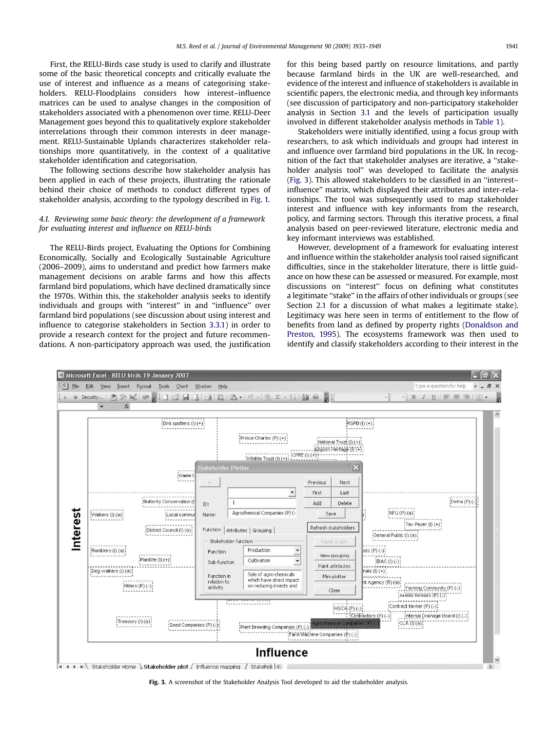First, the RELU-Birds case study is used to clarify and illustrate some of the basic theoretical concepts and critically evaluate the use of interest and influence as a means of categorising stakeholders. RELU-Floodplains considers how interest–influence matrices can be used to analyse changes in the composition of stakeholders associated with a phenomenon over time. RELU-Deer Management goes beyond this to qualitatively explore stakeholder interrelations through their common interests in deer management. RELU-Sustainable Uplands characterizes stakeholder relationships more quantitatively, in the context of a qualitative stakeholder identification and categorisation.

The following sections describe how stakeholder analysis has been applied in each of these projects, illustrating the rationale behind their choice of methods to conduct different types of stakeholder analysis, according to the typology described in [Fig. 1.](#page-3-0)

## 4.1. Reviewing some basic theory: the development of a framework for evaluating interest and influence on RELU-birds

The RELU-Birds project, Evaluating the Options for Combining Economically, Socially and Ecologically Sustainable Agriculture (2006–2009), aims to understand and predict how farmers make management decisions on arable farms and how this affects farmland bird populations, which have declined dramatically since the 1970s. Within this, the stakeholder analysis seeks to identify individuals and groups with ''interest'' in and ''influence'' over farmland bird populations (see discussion about using interest and influence to categorise stakeholders in Section [3.3.1\)](#page-5-0) in order to provide a research context for the project and future recommendations. A non-participatory approach was used, the justification for this being based partly on resource limitations, and partly because farmland birds in the UK are well-researched, and evidence of the interest and influence of stakeholders is available in scientific papers, the electronic media, and through key informants (see discussion of participatory and non-participatory stakeholder analysis in Section [3.1](#page-3-0) and the levels of participation usually involved in different stakeholder analysis methods in [Table 1\)](#page-4-0).

Stakeholders were initially identified, using a focus group with researchers, to ask which individuals and groups had interest in and influence over farmland bird populations in the UK. In recognition of the fact that stakeholder analyses are iterative, a ''stakeholder analysis tool'' was developed to facilitate the analysis ([Fig. 3\)](#page-8-0). This allowed stakeholders to be classified in an ''interest– influence'' matrix, which displayed their attributes and inter-relationships. The tool was subsequently used to map stakeholder interest and influence with key informants from the research, policy, and farming sectors. Through this iterative process, a final analysis based on peer-reviewed literature, electronic media and key informant interviews was established.

However, development of a framework for evaluating interest and influence within the stakeholder analysis tool raised significant difficulties, since in the stakeholder literature, there is little guidance on how these can be assessed or measured. For example, most discussions on ''interest'' focus on defining what constitutes a legitimate ''stake'' in the affairs of other individuals or groups (see Section [2.1](#page-1-0) for a discussion of what makes a legitimate stake). Legitimacy was here seen in terms of entitlement to the flow of benefits from land as defined by property rights ([Donaldson and](#page-15-0) [Preston, 1995\)](#page-15-0). The ecosystems framework was then used to identify and classify stakeholders according to their interest in the



<span id="page-8-0"></span>Fig. 3. A screenshot of the Stakeholder Analysis Tool developed to aid the stakeholder analysis.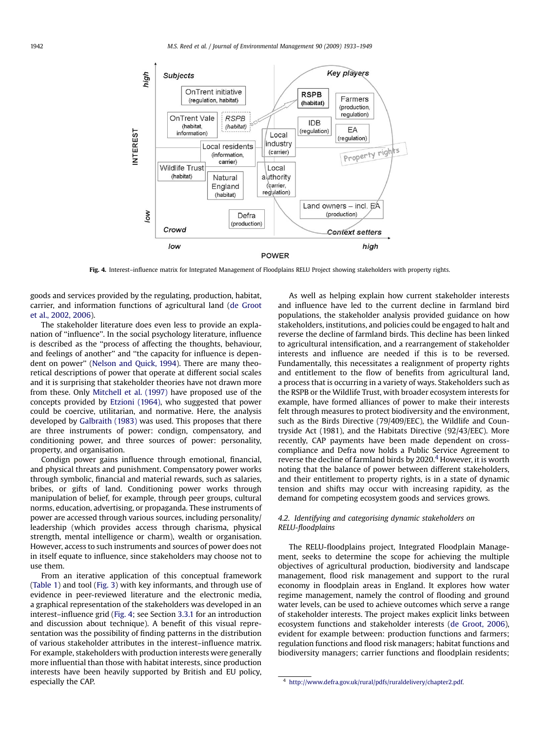

Fig. 4. Interest-influence matrix for Integrated Management of Floodplains RELU Project showing stakeholders with property rights.

goods and services provided by the regulating, production, habitat, carrier, and information functions of agricultural land ([de Groot](#page-15-0) [et al., 2002, 2006](#page-15-0)).

The stakeholder literature does even less to provide an explanation of ''influence''. In the social psychology literature, influence is described as the ''process of affecting the thoughts, behaviour, and feelings of another'' and ''the capacity for influence is dependent on power'' [\(Nelson and Quick, 1994](#page-15-0)). There are many theoretical descriptions of power that operate at different social scales and it is surprising that stakeholder theories have not drawn more from these. Only [Mitchell et al. \(1997\)](#page-15-0) have proposed use of the concepts provided by [Etzioni \(1964\)](#page-15-0), who suggested that power could be coercive, utilitarian, and normative. Here, the analysis developed by [Galbraith \(1983\)](#page-15-0) was used. This proposes that there are three instruments of power: condign, compensatory, and conditioning power, and three sources of power: personality, property, and organisation.

Condign power gains influence through emotional, financial, and physical threats and punishment. Compensatory power works through symbolic, financial and material rewards, such as salaries, bribes, or gifts of land. Conditioning power works through manipulation of belief, for example, through peer groups, cultural norms, education, advertising, or propaganda. These instruments of power are accessed through various sources, including personality/ leadership (which provides access through charisma, physical strength, mental intelligence or charm), wealth or organisation. However, access to such instruments and sources of power does not in itself equate to influence, since stakeholders may choose not to use them.

<span id="page-9-0"></span>From an iterative application of this conceptual framework ([Table 1\)](#page-4-0) and tool ([Fig. 3\)](#page-8-0) with key informants, and through use of evidence in peer-reviewed literature and the electronic media, a graphical representation of the stakeholders was developed in an interest–influence grid ([Fig. 4;](#page-9-0) see Section [3.3.1](#page-5-0) for an introduction and discussion about technique). A benefit of this visual representation was the possibility of finding patterns in the distribution of various stakeholder attributes in the interest–influence matrix. For example, stakeholders with production interests were generally more influential than those with habitat interests, since production interests have been heavily supported by British and EU policy, especially the CAP.

As well as helping explain how current stakeholder interests and influence have led to the current decline in farmland bird populations, the stakeholder analysis provided guidance on how stakeholders, institutions, and policies could be engaged to halt and reverse the decline of farmland birds. This decline has been linked to agricultural intensification, and a rearrangement of stakeholder interests and influence are needed if this is to be reversed. Fundamentally, this necessitates a realignment of property rights and entitlement to the flow of benefits from agricultural land, a process that is occurring in a variety of ways. Stakeholders such as the RSPB or the Wildlife Trust, with broader ecosystem interests for example, have formed alliances of power to make their interests felt through measures to protect biodiversity and the environment, such as the Birds Directive (79/409/EEC), the Wildlife and Countryside Act (1981), and the Habitats Directive (92/43/EEC). More recently, CAP payments have been made dependent on crosscompliance and Defra now holds a Public Service Agreement to reverse the decline of farmland birds by 2020.<sup>[4](#page-9-0)</sup> However, it is worth noting that the balance of power between different stakeholders, and their entitlement to property rights, is in a state of dynamic tension and shifts may occur with increasing rapidity, as the demand for competing ecosystem goods and services grows.

# 4.2. Identifying and categorising dynamic stakeholders on RELU-floodplains

The RELU-floodplains project, Integrated Floodplain Management, seeks to determine the scope for achieving the multiple objectives of agricultural production, biodiversity and landscape management, flood risk management and support to the rural economy in floodplain areas in England. It explores how water regime management, namely the control of flooding and ground water levels, can be used to achieve outcomes which serve a range of stakeholder interests. The project makes explicit links between ecosystem functions and stakeholder interests ([de Groot, 2006\)](#page-15-0), evident for example between: production functions and farmers; regulation functions and flood risk managers; habitat functions and biodiversity managers; carrier functions and floodplain residents;

<sup>4</sup> [http://www.defra.gov.uk/rural/pdfs/ruraldelivery/chapter2.pdf.](http://www.defra.gov.uk/rural/pdfs/ruraldelivery/chapter2.pdf)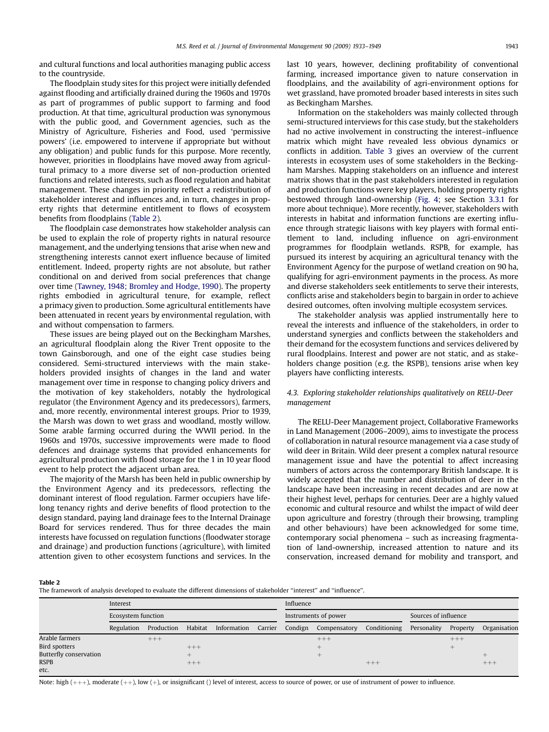and cultural functions and local authorities managing public access to the countryside.

The floodplain study sites for this project were initially defended against flooding and artificially drained during the 1960s and 1970s as part of programmes of public support to farming and food production. At that time, agricultural production was synonymous with the public good, and Government agencies, such as the Ministry of Agriculture, Fisheries and Food, used 'permissive powers' (i.e. empowered to intervene if appropriate but without any obligation) and public funds for this purpose. More recently, however, priorities in floodplains have moved away from agricultural primacy to a more diverse set of non-production oriented functions and related interests, such as flood regulation and habitat management. These changes in priority reflect a redistribution of stakeholder interest and influences and, in turn, changes in property rights that determine entitlement to flows of ecosystem benefits from floodplains [\(Table 2](#page-10-0)).

The floodplain case demonstrates how stakeholder analysis can be used to explain the role of property rights in natural resource management, and the underlying tensions that arise when new and strengthening interests cannot exert influence because of limited entitlement. Indeed, property rights are not absolute, but rather conditional on and derived from social preferences that change over time [\(Tawney, 1948; Bromley and Hodge, 1990](#page-16-0)). The property rights embodied in agricultural tenure, for example, reflect a primacy given to production. Some agricultural entitlements have been attenuated in recent years by environmental regulation, with and without compensation to farmers.

These issues are being played out on the Beckingham Marshes, an agricultural floodplain along the River Trent opposite to the town Gainsborough, and one of the eight case studies being considered. Semi-structured interviews with the main stakeholders provided insights of changes in the land and water management over time in response to changing policy drivers and the motivation of key stakeholders, notably the hydrological regulator (the Environment Agency and its predecessors), farmers, and, more recently, environmental interest groups. Prior to 1939, the Marsh was down to wet grass and woodland, mostly willow. Some arable farming occurred during the WWII period. In the 1960s and 1970s, successive improvements were made to flood defences and drainage systems that provided enhancements for agricultural production with flood storage for the 1 in 10 year flood event to help protect the adjacent urban area.

The majority of the Marsh has been held in public ownership by the Environment Agency and its predecessors, reflecting the dominant interest of flood regulation. Farmer occupiers have lifelong tenancy rights and derive benefits of flood protection to the design standard, paying land drainage fees to the Internal Drainage Board for services rendered. Thus for three decades the main interests have focussed on regulation functions (floodwater storage and drainage) and production functions (agriculture), with limited attention given to other ecosystem functions and services. In the last 10 years, however, declining profitability of conventional farming, increased importance given to nature conservation in floodplains, and the availability of agri-environment options for wet grassland, have promoted broader based interests in sites such as Beckingham Marshes.

Information on the stakeholders was mainly collected through semi-structured interviews for this case study, but the stakeholders had no active involvement in constructing the interest–influence matrix which might have revealed less obvious dynamics or conflicts in addition. [Table 3](#page-11-0) gives an overview of the current interests in ecosystem uses of some stakeholders in the Beckingham Marshes. Mapping stakeholders on an influence and interest matrix shows that in the past stakeholders interested in regulation and production functions were key players, holding property rights bestowed through land-ownership ([Fig. 4](#page-9-0); see Section [3.3.1](#page-5-0) for more about technique). More recently, however, stakeholders with interests in habitat and information functions are exerting influence through strategic liaisons with key players with formal entitlement to land, including influence on agri-environment programmes for floodplain wetlands. RSPB, for example, has pursued its interest by acquiring an agricultural tenancy with the Environment Agency for the purpose of wetland creation on 90 ha, qualifying for agri-environment payments in the process. As more and diverse stakeholders seek entitlements to serve their interests, conflicts arise and stakeholders begin to bargain in order to achieve desired outcomes, often involving multiple ecosystem services.

The stakeholder analysis was applied instrumentally here to reveal the interests and influence of the stakeholders, in order to understand synergies and conflicts between the stakeholders and their demand for the ecosystem functions and services delivered by rural floodplains. Interest and power are not static, and as stakeholders change position (e.g. the RSPB), tensions arise when key players have conflicting interests.

## 4.3. Exploring stakeholder relationships qualitatively on RELU-Deer management

The RELU-Deer Management project, Collaborative Frameworks in Land Management (2006–2009), aims to investigate the process of collaboration in natural resource management via a case study of wild deer in Britain. Wild deer present a complex natural resource management issue and have the potential to affect increasing numbers of actors across the contemporary British landscape. It is widely accepted that the number and distribution of deer in the landscape have been increasing in recent decades and are now at their highest level, perhaps for centuries. Deer are a highly valued economic and cultural resource and whilst the impact of wild deer upon agriculture and forestry (through their browsing, trampling and other behaviours) have been acknowledged for some time, contemporary social phenomena – such as increasing fragmentation of land-ownership, increased attention to nature and its conservation, increased demand for mobility and transport, and

Table 2

The framework of analysis developed to evaluate the different dimensions of stakeholder ''interest'' and ''influence''.

|                        | Interest<br>Ecosystem function |            |         |             | Influence            |         |              |                      |             |          |              |
|------------------------|--------------------------------|------------|---------|-------------|----------------------|---------|--------------|----------------------|-------------|----------|--------------|
|                        |                                |            |         |             | Instruments of power |         |              | Sources of influence |             |          |              |
|                        | Regulation                     | Production | Habitat | Information | Carrier              | Condign | Compensatory | Conditioning         | Personality | Property | Organisation |
| Arable farmers         |                                | $+++$      |         |             |                      |         | $+++$        |                      |             | $+++$    |              |
| Bird spotters          |                                |            | $+++$   |             |                      |         | $+$          |                      |             | $^+$     |              |
| Butterfly conservation |                                |            |         |             |                      |         | $-$          |                      |             |          | $\div$       |
| <b>RSPB</b>            |                                |            | $+++$   |             |                      |         |              | $+++$                |             |          | $+++$        |
| etc.                   |                                |            |         |             |                      |         |              |                      |             |          |              |

<span id="page-10-0"></span>Note: high  $(++)$ , moderate  $(++)$ , low  $(+)$ , or insignificant () level of interest, access to source of power, or use of instrument of power to influence.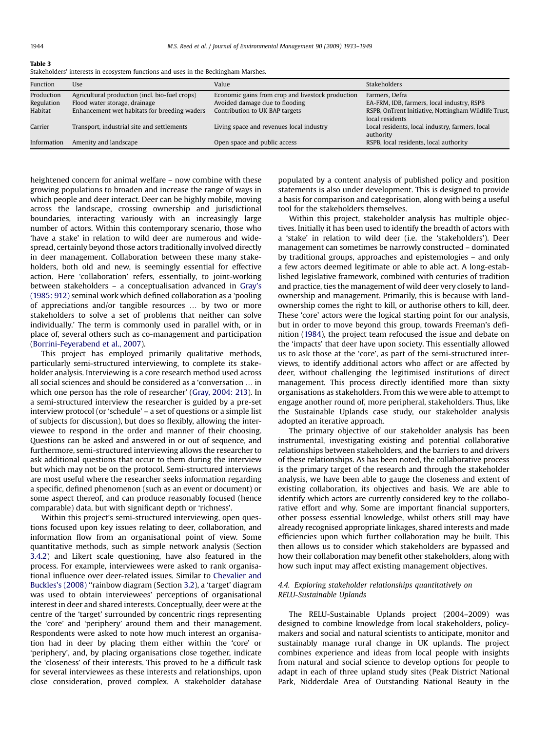| H |  |
|---|--|
|---|--|

| Function    | Use.                                           | Value                                             | <b>Stakeholders</b>                                  |
|-------------|------------------------------------------------|---------------------------------------------------|------------------------------------------------------|
| Production  | Agricultural production (incl. bio-fuel crops) | Economic gains from crop and livestock production | Farmers, Defra                                       |
| Regulation  | Flood water storage, drainage                  | Avoided damage due to flooding                    | EA-FRM, IDB, farmers, local industry, RSPB           |
| Habitat     | Enhancement wet habitats for breeding waders   | Contribution to UK BAP targets                    | RSPB, OnTrent Initiative, Nottingham Wildlife Trust, |
|             |                                                |                                                   | local residents                                      |
| Carrier     | Transport, industrial site and settlements     | Living space and revenues local industry          | Local residents, local industry, farmers, local      |
|             |                                                |                                                   | authority                                            |
| Information | Amenity and landscape                          | Open space and public access                      | RSPB, local residents, local authority               |

heightened concern for animal welfare – now combine with these growing populations to broaden and increase the range of ways in which people and deer interact. Deer can be highly mobile, moving across the landscape, crossing ownership and jurisdictional boundaries, interacting variously with an increasingly large number of actors. Within this contemporary scenario, those who 'have a stake' in relation to wild deer are numerous and widespread, certainly beyond those actors traditionally involved directly in deer management. Collaboration between these many stakeholders, both old and new, is seemingly essential for effective action. Here 'collaboration' refers, essentially, to joint-working between stakeholders – a conceptualisation advanced in [Gray's](#page-15-0) [\(1985: 912\)](#page-15-0) seminal work which defined collaboration as a 'pooling of appreciations and/or tangible resources ... by two or more stakeholders to solve a set of problems that neither can solve individually.' The term is commonly used in parallel with, or in place of, several others such as co-management and participation ([Borrini-Feyerabend et al., 2007](#page-14-0)).

This project has employed primarily qualitative methods, particularly semi-structured interviewing, to complete its stakeholder analysis. Interviewing is a core research method used across all social sciences and should be considered as a 'conversation ... in which one person has the role of researcher' ([Gray, 2004: 213\)](#page-15-0). In a semi-structured interview the researcher is guided by a pre-set interview protocol (or 'schedule' – a set of questions or a simple list of subjects for discussion), but does so flexibly, allowing the interviewee to respond in the order and manner of their choosing. Questions can be asked and answered in or out of sequence, and furthermore, semi-structured interviewing allows the researcher to ask additional questions that occur to them during the interview but which may not be on the protocol. Semi-structured interviews are most useful where the researcher seeks information regarding a specific, defined phenomenon (such as an event or document) or some aspect thereof, and can produce reasonably focused (hence comparable) data, but with significant depth or 'richness'.

<span id="page-11-0"></span>Within this project's semi-structured interviewing, open questions focused upon key issues relating to deer, collaboration, and information flow from an organisational point of view. Some quantitative methods, such as simple network analysis (Section [3.4.2\)](#page-6-0) and Likert scale questioning, have also featured in the process. For example, interviewees were asked to rank organisational influence over deer-related issues. Similar to [Chevalier and](#page-15-0) [Buckles's \(2008\)](#page-15-0) ''rainbow diagram (Section [3.2](#page-4-0)), a 'target' diagram was used to obtain interviewees' perceptions of organisational interest in deer and shared interests. Conceptually, deer were at the centre of the 'target' surrounded by concentric rings representing the 'core' and 'periphery' around them and their management. Respondents were asked to note how much interest an organisation had in deer by placing them either within the 'core' or 'periphery', and, by placing organisations close together, indicate the 'closeness' of their interests. This proved to be a difficult task for several interviewees as these interests and relationships, upon close consideration, proved complex. A stakeholder database populated by a content analysis of published policy and position statements is also under development. This is designed to provide a basis for comparison and categorisation, along with being a useful tool for the stakeholders themselves.

Within this project, stakeholder analysis has multiple objectives. Initially it has been used to identify the breadth of actors with a 'stake' in relation to wild deer (i.e. the 'stakeholders'). Deer management can sometimes be narrowly constructed – dominated by traditional groups, approaches and epistemologies – and only a few actors deemed legitimate or able to able act. A long-established legislative framework, combined with centuries of tradition and practice, ties the management of wild deer very closely to landownership and management. Primarily, this is because with landownership comes the right to kill, or authorise others to kill, deer. These 'core' actors were the logical starting point for our analysis, but in order to move beyond this group, towards Freeman's definition [\(1984](#page-15-0)), the project team refocused the issue and debate on the 'impacts' that deer have upon society. This essentially allowed us to ask those at the 'core', as part of the semi-structured interviews, to identify additional actors who affect or are affected by deer, without challenging the legitimised institutions of direct management. This process directly identified more than sixty organisations as stakeholders. From this we were able to attempt to engage another round of, more peripheral, stakeholders. Thus, like the Sustainable Uplands case study, our stakeholder analysis adopted an iterative approach.

The primary objective of our stakeholder analysis has been instrumental, investigating existing and potential collaborative relationships between stakeholders, and the barriers to and drivers of these relationships. As has been noted, the collaborative process is the primary target of the research and through the stakeholder analysis, we have been able to gauge the closeness and extent of existing collaboration, its objectives and basis. We are able to identify which actors are currently considered key to the collaborative effort and why. Some are important financial supporters, other possess essential knowledge, whilst others still may have already recognised appropriate linkages, shared interests and made efficiencies upon which further collaboration may be built. This then allows us to consider which stakeholders are bypassed and how their collaboration may benefit other stakeholders, along with how such input may affect existing management objectives.

# 4.4. Exploring stakeholder relationships quantitatively on RELU-Sustainable Uplands

The RELU-Sustainable Uplands project (2004–2009) was designed to combine knowledge from local stakeholders, policymakers and social and natural scientists to anticipate, monitor and sustainably manage rural change in UK uplands. The project combines experience and ideas from local people with insights from natural and social science to develop options for people to adapt in each of three upland study sites (Peak District National Park, Nidderdale Area of Outstanding National Beauty in the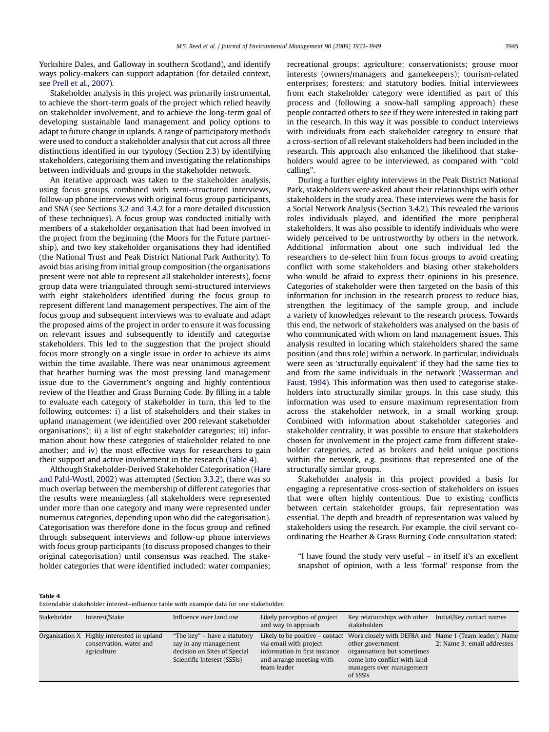Yorkshire Dales, and Galloway in southern Scotland), and identify ways policy-makers can support adaptation (for detailed context, see [Prell et al., 2007\)](#page-15-0).

Stakeholder analysis in this project was primarily instrumental, to achieve the short-term goals of the project which relied heavily on stakeholder involvement, and to achieve the long-term goal of developing sustainable land management and policy options to adapt to future change in uplands. A range of participatory methods were used to conduct a stakeholder analysis that cut across all three distinctions identified in our typology (Section [2.3\)](#page-2-0) by identifying stakeholders, categorising them and investigating the relationships between individuals and groups in the stakeholder network.

An iterative approach was taken to the stakeholder analysis, using focus groups, combined with semi-structured interviews, follow-up phone interviews with original focus group participants, and SNA (see Sections [3.2 and 3.4.2](#page-4-0) for a more detailed discussion of these techniques). A focus group was conducted initially with members of a stakeholder organisation that had been involved in the project from the beginning (the Moors for the Future partnership), and two key stakeholder organisations they had identified (the National Trust and Peak District National Park Authority). To avoid bias arising from initial group composition (the organisations present were not able to represent all stakeholder interests), focus group data were triangulated through semi-structured interviews with eight stakeholders identified during the focus group to represent different land management perspectives. The aim of the focus group and subsequent interviews was to evaluate and adapt the proposed aims of the project in order to ensure it was focussing on relevant issues and subsequently to identify and categorise stakeholders. This led to the suggestion that the project should focus more strongly on a single issue in order to achieve its aims within the time available. There was near unanimous agreement that heather burning was the most pressing land management issue due to the Government's ongoing and highly contentious review of the Heather and Grass Burning Code. By filling in a table to evaluate each category of stakeholder in turn, this led to the following outcomes: i) a list of stakeholders and their stakes in upland management (we identified over 200 relevant stakeholder organisations); ii) a list of eight stakeholder categories; iii) information about how these categories of stakeholder related to one another; and iv) the most effective ways for researchers to gain their support and active involvement in the research [\(Table 4](#page-12-0)).

Although Stakeholder-Derived Stakeholder Categorisation ([Hare](#page-15-0) [and Pahl-Wostl, 2002\)](#page-15-0) was attempted (Section [3.3.2\)](#page-6-0), there was so much overlap between the membership of different categories that the results were meaningless (all stakeholders were represented under more than one category and many were represented under numerous categories, depending upon who did the categorisation). Categorisation was therefore done in the focus group and refined through subsequent interviews and follow-up phone interviews with focus group participants (to discuss proposed changes to their original categorisation) until consensus was reached. The stakeholder categories that were identified included: water companies; recreational groups; agriculture; conservationists; grouse moor interests (owners/managers and gamekeepers); tourism-related enterprises; foresters; and statutory bodies. Initial interviewees from each stakeholder category were identified as part of this process and (following a snow-ball sampling approach) these people contacted others to see if they were interested in taking part in the research. In this way it was possible to conduct interviews with individuals from each stakeholder category to ensure that a cross-section of all relevant stakeholders had been included in the research. This approach also enhanced the likelihood that stakeholders would agree to be interviewed, as compared with ''cold calling''.

During a further eighty interviews in the Peak District National Park, stakeholders were asked about their relationships with other stakeholders in the study area. These interviews were the basis for a Social Network Analysis (Section [3.4.2](#page-6-0)). This revealed the various roles individuals played, and identified the more peripheral stakeholders. It was also possible to identify individuals who were widely perceived to be untrustworthy by others in the network. Additional information about one such individual led the researchers to de-select him from focus groups to avoid creating conflict with some stakeholders and biasing other stakeholders who would be afraid to express their opinions in his presence. Categories of stakeholder were then targeted on the basis of this information for inclusion in the research process to reduce bias, strengthen the legitimacy of the sample group, and include a variety of knowledges relevant to the research process. Towards this end, the network of stakeholders was analysed on the basis of who communicated with whom on land management issues. This analysis resulted in locating which stakeholders shared the same position (and thus role) within a network. In particular, individuals were seen as 'structurally equivalent' if they had the same ties to and from the same individuals in the network ([Wasserman and](#page-16-0) [Faust, 1994\)](#page-16-0). This information was then used to categorise stakeholders into structurally similar groups. In this case study, this information was used to ensure maximum representation from across the stakeholder network, in a small working group. Combined with information about stakeholder categories and stakeholder centrality, it was possible to ensure that stakeholders chosen for involvement in the project came from different stakeholder categories, acted as brokers and held unique positions within the network, e.g. positions that represented one of the structurally similar groups.

Stakeholder analysis in this project provided a basis for engaging a representative cross-section of stakeholders on issues that were often highly contentious. Due to existing conflicts between certain stakeholder groups, fair representation was essential. The depth and breadth of representation was valued by stakeholders using the research. For example, the civil servant coordinating the Heather & Grass Burning Code consultation stated:

''I have found the study very useful – in itself it's an excellent snapshot of opinion, with a less 'formal' response from the

#### Table 4

Extendable stakeholder interest–influence table with example data for one stakeholder.

<span id="page-12-0"></span>

| Stakeholder | Interest/Stake                                                                       | Influence over land use                                                                                              | Likely perception of project<br>and way to approach                                                | Key relationships with other<br>stakeholders                                                                                                                                                                      | Initial/Key contact names  |
|-------------|--------------------------------------------------------------------------------------|----------------------------------------------------------------------------------------------------------------------|----------------------------------------------------------------------------------------------------|-------------------------------------------------------------------------------------------------------------------------------------------------------------------------------------------------------------------|----------------------------|
|             | Organisation X Highly interested in upland<br>conservation, water and<br>agriculture | "The key" – have a statutory<br>say in any management<br>decision on Sites of Special<br>Scientific Interest (SSSIs) | via email with project<br>information in first instance<br>and arrange meeting with<br>team leader | Likely to be positive – contact Work closely with DEFRA and Name 1 (Team leader); Name<br>other government<br>organisations but sometimes<br>come into conflict with land<br>managers over management<br>of SSSIs | 2; Name 3; email addresses |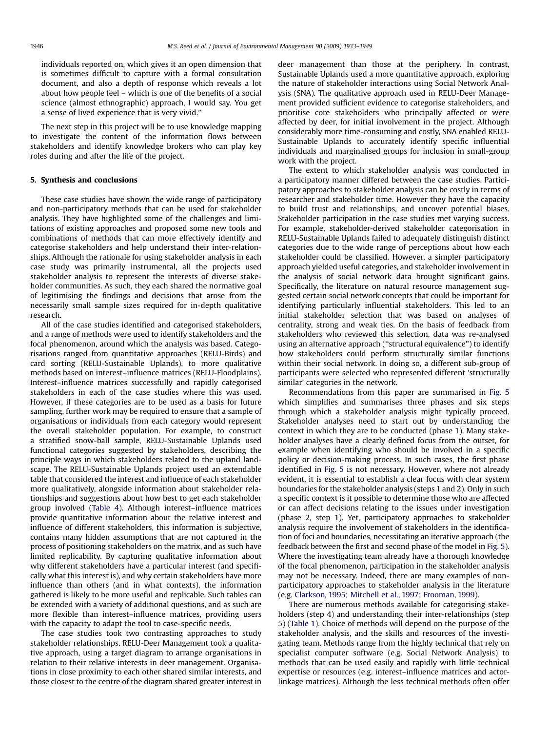individuals reported on, which gives it an open dimension that is sometimes difficult to capture with a formal consultation document, and also a depth of response which reveals a lot about how people feel – which is one of the benefits of a social science (almost ethnographic) approach, I would say. You get a sense of lived experience that is very vivid.''

The next step in this project will be to use knowledge mapping to investigate the content of the information flows between stakeholders and identify knowledge brokers who can play key roles during and after the life of the project.

## 5. Synthesis and conclusions

These case studies have shown the wide range of participatory and non-participatory methods that can be used for stakeholder analysis. They have highlighted some of the challenges and limitations of existing approaches and proposed some new tools and combinations of methods that can more effectively identify and categorise stakeholders and help understand their inter-relationships. Although the rationale for using stakeholder analysis in each case study was primarily instrumental, all the projects used stakeholder analysis to represent the interests of diverse stakeholder communities. As such, they each shared the normative goal of legitimising the findings and decisions that arose from the necessarily small sample sizes required for in-depth qualitative research.

All of the case studies identified and categorised stakeholders, and a range of methods were used to identify stakeholders and the focal phenomenon, around which the analysis was based. Categorisations ranged from quantitative approaches (RELU-Birds) and card sorting (RELU-Sustainable Uplands), to more qualitative methods based on interest–influence matrices (RELU-Floodplains). Interest–influence matrices successfully and rapidly categorised stakeholders in each of the case studies where this was used. However, if these categories are to be used as a basis for future sampling, further work may be required to ensure that a sample of organisations or individuals from each category would represent the overall stakeholder population. For example, to construct a stratified snow-ball sample, RELU-Sustainable Uplands used functional categories suggested by stakeholders, describing the principle ways in which stakeholders related to the upland landscape. The RELU-Sustainable Uplands project used an extendable table that considered the interest and influence of each stakeholder more qualitatively, alongside information about stakeholder relationships and suggestions about how best to get each stakeholder group involved ([Table 4](#page-12-0)). Although interest–influence matrices provide quantitative information about the relative interest and influence of different stakeholders, this information is subjective, contains many hidden assumptions that are not captured in the process of positioning stakeholders on the matrix, and as such have limited replicability. By capturing qualitative information about why different stakeholders have a particular interest (and specifically what this interest is), and why certain stakeholders have more influence than others (and in what contexts), the information gathered is likely to be more useful and replicable. Such tables can be extended with a variety of additional questions, and as such are more flexible than interest–influence matrices, providing users with the capacity to adapt the tool to case-specific needs.

The case studies took two contrasting approaches to study stakeholder relationships. RELU-Deer Management took a qualitative approach, using a target diagram to arrange organisations in relation to their relative interests in deer management. Organisations in close proximity to each other shared similar interests, and those closest to the centre of the diagram shared greater interest in deer management than those at the periphery. In contrast, Sustainable Uplands used a more quantitative approach, exploring the nature of stakeholder interactions using Social Network Analysis (SNA). The qualitative approach used in RELU-Deer Management provided sufficient evidence to categorise stakeholders, and prioritise core stakeholders who principally affected or were affected by deer, for initial involvement in the project. Although considerably more time-consuming and costly, SNA enabled RELU-Sustainable Uplands to accurately identify specific influential individuals and marginalised groups for inclusion in small-group work with the project.

The extent to which stakeholder analysis was conducted in a participatory manner differed between the case studies. Participatory approaches to stakeholder analysis can be costly in terms of researcher and stakeholder time. However they have the capacity to build trust and relationships, and uncover potential biases. Stakeholder participation in the case studies met varying success. For example, stakeholder-derived stakeholder categorisation in RELU-Sustainable Uplands failed to adequately distinguish distinct categories due to the wide range of perceptions about how each stakeholder could be classified. However, a simpler participatory approach yielded useful categories, and stakeholder involvement in the analysis of social network data brought significant gains. Specifically, the literature on natural resource management suggested certain social network concepts that could be important for identifying particularly influential stakeholders. This led to an initial stakeholder selection that was based on analyses of centrality, strong and weak ties. On the basis of feedback from stakeholders who reviewed this selection, data was re-analysed using an alternative approach (''structural equivalence'') to identify how stakeholders could perform structurally similar functions within their social network. In doing so, a different sub-group of participants were selected who represented different 'structurally similar' categories in the network.

Recommendations from this paper are summarised in [Fig. 5](#page-14-0) which simplifies and summarises three phases and six steps through which a stakeholder analysis might typically proceed. Stakeholder analyses need to start out by understanding the context in which they are to be conducted (phase 1). Many stakeholder analyses have a clearly defined focus from the outset, for example when identifying who should be involved in a specific policy or decision-making process. In such cases, the first phase identified in [Fig. 5](#page-14-0) is not necessary. However, where not already evident, it is essential to establish a clear focus with clear system boundaries for the stakeholder analysis (steps 1 and 2). Only in such a specific context is it possible to determine those who are affected or can affect decisions relating to the issues under investigation (phase 2, step 1). Yet, participatory approaches to stakeholder analysis require the involvement of stakeholders in the identification of foci and boundaries, necessitating an iterative approach (the feedback between the first and second phase of the model in [Fig. 5\)](#page-14-0). Where the investigating team already have a thorough knowledge of the focal phenomenon, participation in the stakeholder analysis may not be necessary. Indeed, there are many examples of nonparticipatory approaches to stakeholder analysis in the literature (e.g. [Clarkson, 1995; Mitchell et al., 1997; Frooman, 1999](#page-15-0)).

There are numerous methods available for categorising stakeholders (step 4) and understanding their inter-relationships (step 5) [\(Table 1](#page-4-0)). Choice of methods will depend on the purpose of the stakeholder analysis, and the skills and resources of the investigating team. Methods range from the highly technical that rely on specialist computer software (e.g. Social Network Analysis) to methods that can be used easily and rapidly with little technical expertise or resources (e.g. interest–influence matrices and actorlinkage matrices). Although the less technical methods often offer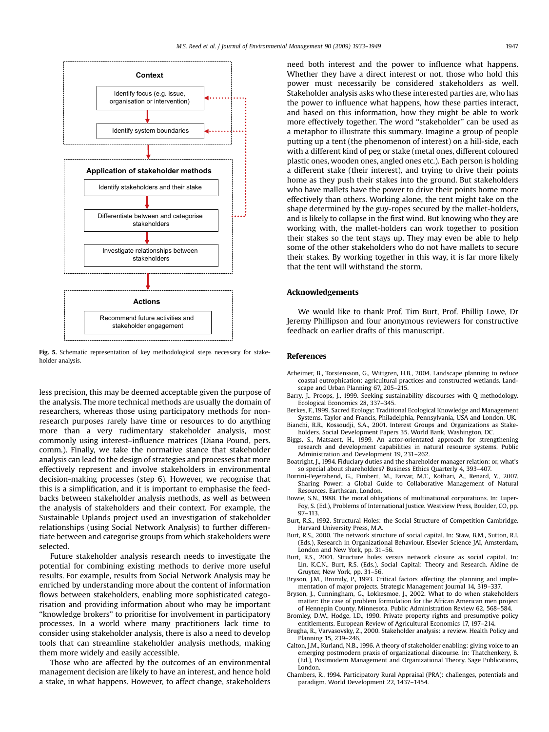

Fig. 5. Schematic representation of key methodological steps necessary for stakeholder analysis.

less precision, this may be deemed acceptable given the purpose of the analysis. The more technical methods are usually the domain of researchers, whereas those using participatory methods for nonresearch purposes rarely have time or resources to do anything more than a very rudimentary stakeholder analysis, most commonly using interest–influence matrices (Diana Pound, pers. comm.). Finally, we take the normative stance that stakeholder analysis can lead to the design of strategies and processes that more effectively represent and involve stakeholders in environmental decision-making processes (step 6). However, we recognise that this is a simplification, and it is important to emphasise the feedbacks between stakeholder analysis methods, as well as between the analysis of stakeholders and their context. For example, the Sustainable Uplands project used an investigation of stakeholder relationships (using Social Network Analysis) to further differentiate between and categorise groups from which stakeholders were selected.

Future stakeholder analysis research needs to investigate the potential for combining existing methods to derive more useful results. For example, results from Social Network Analysis may be enriched by understanding more about the content of information flows between stakeholders, enabling more sophisticated categorisation and providing information about who may be important ''knowledge brokers'' to prioritise for involvement in participatory processes. In a world where many practitioners lack time to consider using stakeholder analysis, there is also a need to develop tools that can streamline stakeholder analysis methods, making them more widely and easily accessible.

<span id="page-14-0"></span>Those who are affected by the outcomes of an environmental management decision are likely to have an interest, and hence hold a stake, in what happens. However, to affect change, stakeholders need both interest and the power to influence what happens. Whether they have a direct interest or not, those who hold this power must necessarily be considered stakeholders as well. Stakeholder analysis asks who these interested parties are, who has the power to influence what happens, how these parties interact, and based on this information, how they might be able to work more effectively together. The word ''stakeholder'' can be used as a metaphor to illustrate this summary. Imagine a group of people putting up a tent (the phenomenon of interest) on a hill-side, each with a different kind of peg or stake (metal ones, different coloured plastic ones, wooden ones, angled ones etc.). Each person is holding a different stake (their interest), and trying to drive their points home as they push their stakes into the ground. But stakeholders who have mallets have the power to drive their points home more effectively than others. Working alone, the tent might take on the shape determined by the guy-ropes secured by the mallet-holders, and is likely to collapse in the first wind. But knowing who they are working with, the mallet-holders can work together to position their stakes so the tent stays up. They may even be able to help some of the other stakeholders who do not have mallets to secure their stakes. By working together in this way, it is far more likely that the tent will withstand the storm.

## Acknowledgements

We would like to thank Prof. Tim Burt, Prof. Phillip Lowe, Dr Jeremy Phillipson and four anonymous reviewers for constructive feedback on earlier drafts of this manuscript.

## References

- Arheimer, B., Torstensson, G., Wittgren, H.B., 2004. Landscape planning to reduce coastal eutrophication: agricultural practices and constructed wetlands. Landscape and Urban Planning 67, 205–215.
- Barry, J., Proops, J., 1999. Seeking sustainability discourses with Q methodology. Ecological Economics 28, 337–345.
- Berkes, F., 1999. Sacred Ecology: Traditional Ecological Knowledge and Management Systems. Taylor and Francis, Philadelphia, Pennsylvania, USA and London, UK.
- Bianchi, R.R., Kossoudji, S.A., 2001. Interest Groups and Organizations as Stakeholders. Social Development Papers 35. World Bank, Washington, DC.
- Biggs, S., Matsaert, H., 1999. An actor-orientated approach for strengthening research and development capabilities in natural resource systems. Public Administration and Development 19, 231–262.
- Boatright, J., 1994. Fiduciary duties and the shareholder manager relation: or, what's so special about shareholders? Business Ethics Quarterly 4, 393–407.
- Borrini-Feyerabend, G., Pimbert, M., Farvar, M.T., Kothari, A., Renard, Y., 2007. Sharing Power: a Global Guide to Collaborative Management of Natural Resources. Earthscan, London.
- Bowie, S.N., 1988. The moral obligations of multinational corporations. In: Luper-Foy, S. (Ed.), Problems of International Justice. Westview Press, Boulder, CO, pp. 97–113.
- Burt, R.S., 1992. Structural Holes: the Social Structure of Competition Cambridge. Harvard University Press, M.A.
- Burt, R.S., 2000. The network structure of social capital. In: Staw, B.M., Sutton, R.I. (Eds.), Research in Organizational Behaviour. Elsevier Science JAI, Amsterdam, London and New York, pp. 31–56.
- Burt, R.S., 2001. Structure holes versus network closure as social capital. In: Lin, K.C.N., Burt, R.S. (Eds.), Social Capital: Theory and Research. Aldine de Gruyter, New York, pp. 31–56.
- Bryson, J.M., Bromily, P., 1993. Critical factors affecting the planning and implementation of major projects. Strategic Management Journal 14, 319–337.
- Bryson, J., Cunningham, G., Lokkesmoe, J., 2002. What to do when stakeholders matter: the case of problem formulation for the African American men project of Hennepin County, Minnesota. Public Administration Review 62, 568–584.
- Bromley, D.W., Hodge, I.D., 1990. Private property rights and presumptive policy entitlements. European Review of Agricultural Economics 17, 197–214.
- Brugha, R., Varvasovsky, Z., 2000. Stakeholder analysis: a review. Health Policy and Planning 15, 239–246.
- Calton, J.M., Kurland, N.B., 1996. A theory of stakeholder enabling: giving voice to an emerging postmodern praxis of organizational discourse. In: Thatchenkery, B. (Ed.), Postmodern Management and Organizational Theory. Sage Publications, London.
- Chambers, R., 1994. Participatory Rural Appraisal (PRA): challenges, potentials and paradigm. World Development 22, 1437–1454.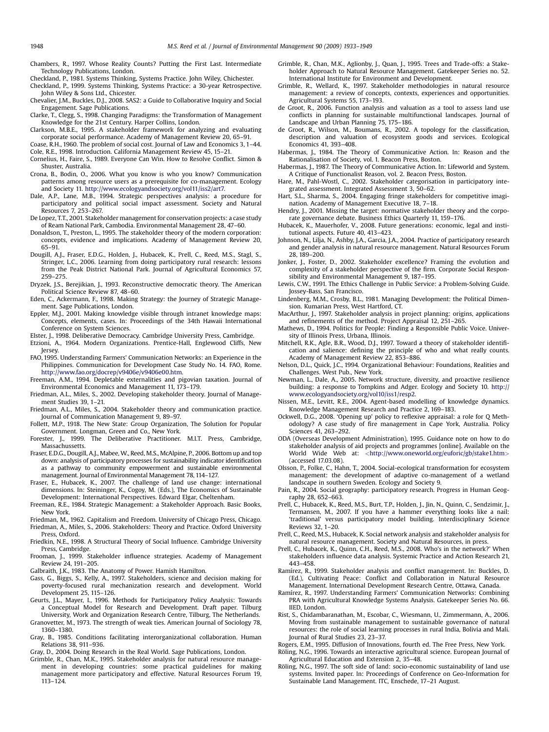- Chambers, R., 1997. Whose Reality Counts? Putting the First Last. Intermediate Technology Publications, London.
- Checkland, P., 1981. Systems Thinking, Systems Practice. John Wiley, Chichester.
- Checkland, P., 1999. Systems Thinking, Systems Practice: a 30-year Retrospective. John Wiley & Sons Ltd., Chicester.
- Chevalier, J.M., Buckles, D.J., 2008. SAS2: a Guide to Collaborative Inquiry and Social Engagement. Sage Publications.
- Clarke, T., Clegg, S., 1998. Changing Paradigms: the Transformation of Management Knowledge for the 21st Century. Harper Collins, London.
- Clarkson, M.B.E., 1995. A stakeholder framework for analyzing and evaluating corporate social performance. Academy of Management Review 20, 65–91.
- Coase, R.H., 1960. The problem of social cost. Journal of Law and Economics 3, 1–44. Cole, R.E., 1998. Introduction. California Management Review 45, 15–21.
- Cornelius, H., Faire, S., 1989. Everyone Can Win. How to Resolve Conflict. Simon & Shuster, Australia.
- Crona, B., Bodin, O., 2006. What you know is who you know? Communication patterns among resource users as a prerequisite for co-management. Ecology and Society 11. [http://www.ecologyandsociety.org/vol11/iss2/art7.](http://www.ecologyandsociety.org/vol11/iss2/art7)
- Dale, A.P., Lane, M.B., 1994. Strategic perspectives analysis: a procedure for participatory and political social impact assessment. Society and Natural Resources 7, 253–267.
- De Lopez, T.T., 2001. Stakeholder management for conservation projects: a case study of Ream National Park, Cambodia. Environmental Management 28, 47–60.
- Donaldson, T., Preston, L., 1995. The stakeholder theory of the modern corporation: concepts, evidence and implications. Academy of Management Review 20, 65–91.
- Dougill, A.J., Fraser, E.D.G., Holden, J., Hubacek, K., Prell, C., Reed, M.S., Stagl, S., Stringer, L.C., 2006. Learning from doing participatory rural research: lessons from the Peak District National Park. Journal of Agricultural Economics 57, 259–275.
- Dryzek, J.S., Berejikian, J., 1993. Reconstructive democratic theory. The American Political Science Review 87, 48–60.
- Eden, C., Ackermann, F., 1998. Making Strategy: the Journey of Strategic Management. Sage Publications, London.
- Eppler, M.J., 2001. Making knowledge visible through intranet knowledge maps: Concepts, elements, cases. In: Proceedings of the 34th Hawaii International Conference on System Sciences.
- Elster, J., 1998. Deliberative Democracy. Cambridge University Press, Cambridge.
- Etzioni, A., 1964. Modern Organizations. Prentice-Hall, Englewood Cliffs, New Jersey.
- FAO, 1995. Understanding Farmers' Communication Networks: an Experience in the Philippines. Communication for Development Case Study No. 14. FAO, Rome. <http://www.fao.org/docrep/v9406e/v9406e00.htm>.
- Freeman, A.M., 1994. Depletable externalities and pigovian taxation. Journal of Environmental Economics and Management 11, 173–179.
- Friedman, A.L., Miles, S., 2002. Developing stakeholder theory. Journal of Management Studies 39, 1–21.
- Friedman, A.L., Miles, S., 2004. Stakeholder theory and communication practice. Journal of Communication Management 9, 89–97.
- Follett, M.P., 1918. The New State: Group Organization, The Solution for Popular Government. Longman, Green and Co., New York.
- Forester, J., 1999. The Deliberative Practitioner. M.I.T. Press, Cambridge, Massachussetts.
- Fraser, E.D.G., Dougill, A.J., Mabee, W., Reed, M.S., McAlpine, P., 2006. Bottom up and top down: analysis of participatory processes for sustainability indicator identification as a pathway to community empowerment and sustainable environmental management. Journal of Environmental Management 78, 114–127.
- Fraser, E., Hubacek, K., 2007. The challenge of land use change: international dimensions. In: Steininger, K., Cogoy, M. (Eds.), The Economics of Sustainable Development: International Perspectives. Edward Elgar, Cheltenham.
- Freeman, R.E., 1984. Strategic Management: a Stakeholder Approach. Basic Books, New York.
- Friedman, M., 1962. Capitalism and Freedom. University of Chicago Press, Chicago.
- Friedman, A., Miles, S., 2006. Stakeholders: Theory and Practice. Oxford University Press, Oxford.
- Friedkin, N.E., 1998. A Structural Theory of Social Influence. Cambridge University Press, Cambridge.
- Frooman, J., 1999. Stakeholder influence strategies. Academy of Management Review 24, 191–205.
- Galbraith, J.K., 1983. The Anatomy of Power. Hamish Hamilton.
- Gass, G., Biggs, S., Kelly, A., 1997. Stakeholders, science and decision making for poverty-focused rural mechanization research and development. World Development 25, 115–126.
- Geurts, J.L., Mayer, I., 1996. Methods for Participatory Policy Analysis: Towards a Conceptual Model for Research and Development. Draft paper. Tilburg University, Work and Organization Research Centre, Tilburg, The Netherlands.
- Granovetter, M., 1973. The strength of weak ties. American Journal of Sociology 78, 1360–1380.
- Gray, B., 1985. Conditions facilitating interorganizational collaboration. Human Relations 38, 911–936.
- Gray, D., 2004. Doing Research in the Real World. Sage Publications, London.
- <span id="page-15-0"></span>Grimble, R., Chan, M.K., 1995. Stakeholder analysis for natural resource management in developing countries: some practical guidelines for making management more participatory and effective. Natural Resources Forum 19, 113–124.
- Grimble, R., Chan, M.K., Aglionby, J., Quan, J., 1995. Trees and Trade-offs: a Stakeholder Approach to Natural Resource Management. Gatekeeper Series no. 52. International Institute for Environment and Development.
- Grimble, R., Wellard, K., 1997. Stakeholder methodologies in natural resource management: a review of concepts, contexts, experiences and opportunities. Agricultural Systems 55, 173–193.
- de Groot, R., 2006. Function analysis and valuation as a tool to assess land use conflicts in planning for sustainable multifunctional landscapes. Journal of Landscape and Urban Planning 75, 175–186.
- de Groot, R., Wilson, M., Boumans, R., 2002. A topology for the classification, description and valuation of ecosystem goods and services. Ecological Economics 41, 393–408.
- Habermas, J., 1984. The Theory of Communicative Action. In: Reason and the Rationalisation of Society, vol. 1. Beacon Press, Boston.
- Habermas, J., 1987. The Theory of Communicative Action. In: Lifeworld and System. A Critique of Functionalist Reason, vol. 2. Beacon Press, Boston.
- Hare, M., Pahl-Wostl, C., 2002. Stakeholder categorisation in participatory integrated assessment. Integrated Assessment 3, 50–62.
- Hart, S.L., Sharma, S., 2004. Engaging fringe stakeholders for competitive imagination. Academy of Management Executive 18, 7–18.
- Hendry, J., 2001. Missing the target: normative stakeholder theory and the corporate governance debate. Business Ethics Quarterly 11, 159–176.
- Hubacek, K., Mauerhofer, V., 2008. Future generations: economic, legal and institutional aspects. Future 40, 413–423.
- Johnson, N., Lilja, N., Ashby, J.A., Garcia, J.A., 2004. Practice of participatory research and gender analysis in natural resource management. Natural Resources Forum 28, 189–200.
- Jonker, J., Foster, D., 2002. Stakeholder excellence? Framing the evolution and complexity of a stakeholder perspective of the firm. Corporate Social Responsibility and Environmental Management 9, 187–195.
- Lewis, C.W., 1991. The Ethics Challenge in Public Service: a Problem-Solving Guide. Jossey-Bass, San Francisco.
- Lindenberg, M.M., Crosby, B.L., 1981. Managing Development: the Political Dimension. Kumarian Press, West Hartford, CT.
- MacArthur, J., 1997. Stakeholder analysis in project planning: origins, applications and refinements of the method. Project Appraisal 12, 251–265.
- Mathews, D., 1994. Politics for People: Finding a Responsible Public Voice. University of Illinois Press, Urbana, Illinois.
- Mitchell, R.K., Agle, B.R., Wood, D.J., 1997. Toward a theory of stakeholder identification and salience: defining the principle of who and what really counts. Academy of Management Review 22, 853–886.
- Nelson, D.L., Quick, J.C., 1994. Organizational Behaviour: Foundations, Realities and Challenges. West Pub., New York.
- Newman, L., Dale, A., 2005. Network structure, diversity, and proactive resilience building: a response to Tompkins and Adger. Ecology and Society 10. [http://](http://www.ecologyandsociety.org/vol10/iss1/resp2) [www.ecologyandsociety.org/vol10/iss1/resp2](http://www.ecologyandsociety.org/vol10/iss1/resp2).
- Nissen, M.E., Levitt, R.E., 2004. Agent-based modelling of knowledge dynamics. Knowledge Management Research and Practice 2, 169–183.
- Ockwell, D.G., 2008. 'Opening up' policy to reflexive appraisal: a role for Q Methodology? A case study of fire management in Cape York, Australia. Policy Sciences 41, 263–292.
- ODA (Overseas Development Administration), 1995. Guidance note on how to do stakeholder analysis of aid projects and programmes [online]. Available on the World Wide Web at: <<http://www.oneworld.org/euforic/gb/stake1.htm>> (accessed 17.03.08).
- Olsson, P., Folke, C., Hahn, T., 2004. Social-ecological transformation for ecosystem management: the development of adaptive co-management of a wetland landscape in southern Sweden. Ecology and Society 9.
- Pain, R., 2004. Social geography: participatory research. Progress in Human Geography 28, 652–663.
- Prell, C., Hubacek, K., Reed, M.S., Burt, T.P., Holden, J., Jin, N., Quinn, C., Sendzimir, J., Termansen, M., 2007. If you have a hammer everything looks like a nail: 'traditional' versus participatory model building. Interdisciplinary Science Reviews 32, 1–20.
- Prell, C., Reed, M.S., Hubacek, K. Social network analysis and stakeholder analysis for natural resource management. Society and Natural Resources, in press.
- Prell, C., Hubacek, K., Quinn, C.H., Reed, M.S., 2008. Who's in the network?' When stakeholders influence data analysis. Systemic Practice and Action Research 21, 443–458.
- Ramı´rez, R., 1999. Stakeholder analysis and conflict management. In: Buckles, D. (Ed.), Cultivating Peace: Conflict and Collaboration in Natural Resource Management. International Development Research Centre, Ottawa, Canada.
- Ramírez, R., 1997. Understanding Farmers' Communication Networks: Combining PRA with Agricultural Knowledge Systems Analysis. Gatekeeper Series No. 66. IIED, London.
- Rist, S., Chidambaranathan, M., Escobar, C., Wiesmann, U., Zimmermann, A., 2006. Moving from sustainable management to sustainable governance of natural resources: the role of social learning processes in rural India, Bolivia and Mali. Journal of Rural Studies 23, 23–37.
- Rogers, E.M., 1995. Diffusion of Innovations, fourth ed. The Free Press, New York.
- Röling, N.G., 1996. Towards an interactive agricultural science. European Journal of Agricultural Education and Extension 2, 35–48.
- Röling, N.G., 1997. The soft side of land: socio-economic sustainability of land use systems. Invited paper. In: Proceedings of Conference on Geo-Information for Sustainable Land Management. ITC, Enschede, 17–21 August.